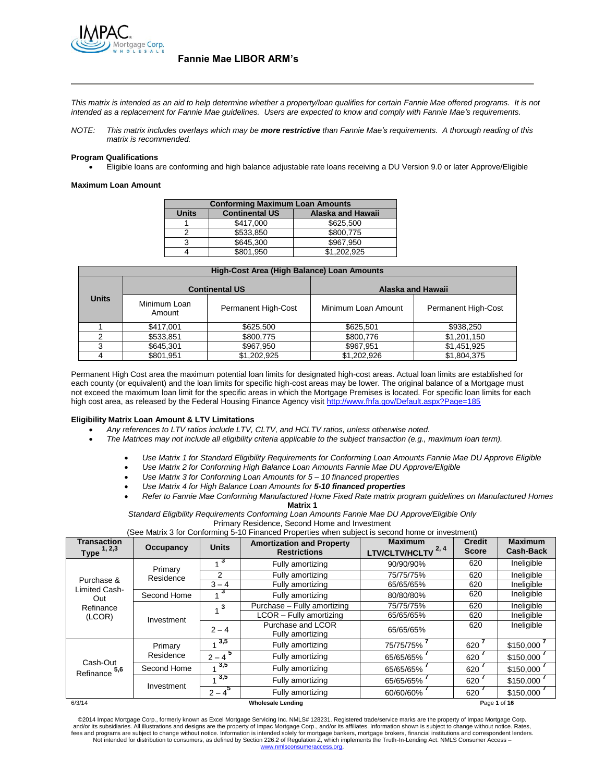

*This matrix is intended as an aid to help determine whether a property/loan qualifies for certain Fannie Mae offered programs. It is not intended as a replacement for Fannie Mae guidelines. Users are expected to know and comply with Fannie Mae's requirements.*

*NOTE: This matrix includes overlays which may be more restrictive than Fannie Mae's requirements. A thorough reading of this matrix is recommended.*

### **Program Qualifications**

Eligible loans are conforming and high balance adjustable rate loans receiving a DU Version 9.0 or later Approve/Eligible

#### **Maximum Loan Amount**

| <b>Conforming Maximum Loan Amounts</b>                     |           |             |  |  |  |  |
|------------------------------------------------------------|-----------|-------------|--|--|--|--|
| <b>Continental US</b><br>Alaska and Hawaii<br><b>Units</b> |           |             |  |  |  |  |
|                                                            | \$417,000 | \$625,500   |  |  |  |  |
|                                                            | \$533.850 | \$800,775   |  |  |  |  |
|                                                            | \$645.300 | \$967.950   |  |  |  |  |
|                                                            | \$801.950 | \$1,202,925 |  |  |  |  |

| High-Cost Area (High Balance) Loan Amounts |                        |                       |                     |                     |  |  |  |  |
|--------------------------------------------|------------------------|-----------------------|---------------------|---------------------|--|--|--|--|
|                                            |                        | <b>Continental US</b> | Alaska and Hawaii   |                     |  |  |  |  |
| <b>Units</b><br>Minimum Loan<br>Amount     |                        | Permanent High-Cost   | Minimum Loan Amount | Permanent High-Cost |  |  |  |  |
|                                            | \$417,001              | \$625,500             | \$625,501           | \$938,250           |  |  |  |  |
|                                            | \$800.775<br>\$533,851 |                       | \$800.776           | \$1,201,150         |  |  |  |  |
| ົ                                          | \$645,301              | \$967,950             | \$967,951           | \$1,451,925         |  |  |  |  |
|                                            | \$801,951              | \$1,202,925           | \$1,202,926         | \$1,804,375         |  |  |  |  |

Permanent High Cost area the maximum potential loan limits for designated high-cost areas. Actual loan limits are established for each county (or equivalent) and the loan limits for specific high-cost areas may be lower. The original balance of a Mortgage must not exceed the maximum loan limit for the specific areas in which the Mortgage Premises is located. For specific loan limits for each high cost area, as released by the Federal Housing Finance Agency visit<http://www.fhfa.gov/Default.aspx?Page=185>

#### **Eligibility Matrix Loan Amount & LTV Limitations**

- *Any references to LTV ratios include LTV, CLTV, and HCLTV ratios, unless otherwise noted.*
- *The Matrices may not include all eligibility criteria applicable to the subject transaction (e.g., maximum loan term).*
	- *Use Matrix 1 for Standard Eligibility Requirements for Conforming Loan Amounts Fannie Mae DU Approve Eligible*
	- *Use Matrix 2 for Conforming High Balance Loan Amounts Fannie Mae DU Approve/Eligible* 
		- *Use Matrix 3 for Conforming Loan Amounts for 5 – 10 financed properties*
		- *Use Matrix 4 for High Balance Loan Amounts for 5-10 financed properties*
	- *Refer to Fannie Mae Conforming Manufactured Home Fixed Rate matrix program guidelines on Manufactured Homes*  **Matrix 1**

*Standard Eligibility Requirements Conforming Loan Amounts Fannie Mae DU Approve/Eligible Only*

Primary Residence, Second Home and Investment

(See Matrix 3 for Conforming 5-10 Financed Properties when subject is second home or investment)

| <b>Transaction</b><br><b>Type</b> $1, 2, 3$        | Occupancy   | <b>Units</b>            | <b>Amortization and Property</b><br><b>Restrictions</b> | <b>Maximum</b><br>LTV/CLTV/HCLTV <sup>2,4</sup> | <b>Credit</b><br><b>Score</b> | <b>Maximum</b><br><b>Cash-Back</b> |
|----------------------------------------------------|-------------|-------------------------|---------------------------------------------------------|-------------------------------------------------|-------------------------------|------------------------------------|
|                                                    | Primary     | 3                       | Fully amortizing                                        | 90/90/90%                                       | 620                           | Ineligible                         |
| Purchase &                                         | Residence   | 2                       | Fully amortizing                                        | 75/75/75%                                       | 620                           | Ineligible                         |
| Limited Cash-                                      |             | $3 - 4$                 | Fully amortizing                                        | 65/65/65%                                       | 620                           | Ineligible                         |
| Out                                                | Second Home | $\mathbf{v}$            | Fully amortizing                                        | 80/80/80%                                       | 620                           | Ineligible                         |
| Refinance                                          | Investment  | $\overline{\mathbf{3}}$ | Purchase - Fully amortizing                             | 75/75/75%                                       | 620                           | Ineligible                         |
| (LCOR)                                             |             |                         | LCOR - Fully amortizing                                 | 65/65/65%                                       | 620                           | Ineligible                         |
|                                                    |             | $2 - 4$                 | Purchase and LCOR<br>Fully amortizing                   | 65/65/65%                                       | 620                           | Ineligible                         |
|                                                    | Primary     | 3,5                     | Fully amortizing                                        | 75/75/75%                                       | 620                           | \$150,000                          |
| Cash-Out                                           | Residence   | $2 - 4^{5}$             | Fully amortizing                                        | 65/65/65%                                       | 620                           | \$150,000                          |
| 5,6<br>Refinance                                   | Second Home | 3,5                     | Fully amortizing                                        | 65/65/65%                                       | 620                           | \$150,000                          |
|                                                    | Investment  | 3,5                     | Fully amortizing                                        | 65/65/65%                                       | 620                           | \$150,000                          |
|                                                    |             | $2 - 4^5$               | Fully amortizing                                        | 60/60/60%                                       | 620                           | \$150,000                          |
| 6/3/14<br><b>Wholesale Lending</b><br>Page 1 of 16 |             |                         |                                                         |                                                 |                               |                                    |

©2014 Impac Mortgage Corp., formerly known as Excel Mortgage Servicing Inc. NMLS# 128231. Registered trade/service marks are the property of Impac Mortgage Corp. and/or its subsidiaries. All illustrations and designs are the property of Impac Mortgage Corp., and/or its affiliates. Information shown is subject to change without notice. Rates,<br>fees and programs are subject to change [www.nmlsconsumeraccess.org.](http://www.nmlsconsumeraccess.org/)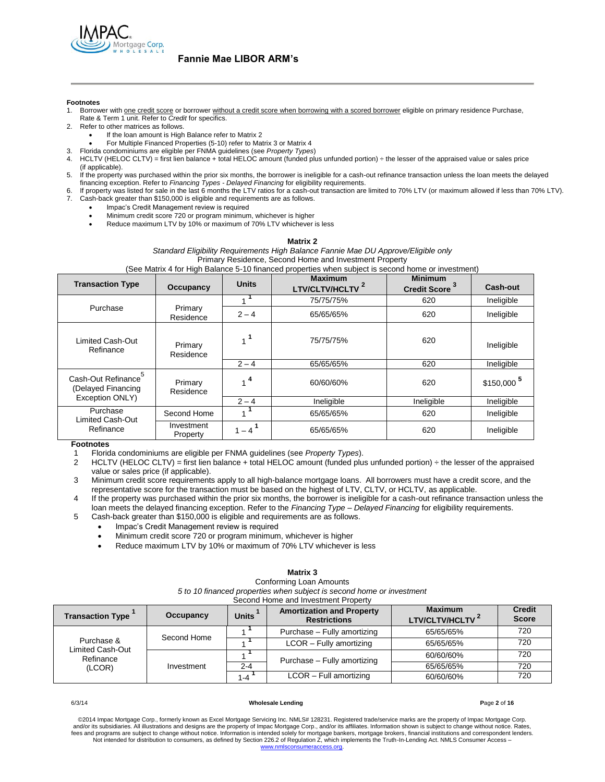

#### **Footnotes**

- Borrower with one credit score or borrower without a credit score when borrowing with a scored borrower eligible on primary residence Purchase, Rate & Term 1 unit. Refer to *Credit* for specifics.
- 2. Refer to other matrices as follows.
	- If the loan amount is High Balance refer to Matrix 2
	- For Multiple Financed Properties (5-10) refer to Matrix 3 or Matrix 4
- 3. Florida condominiums are eligible per FNMA guidelines (see *Property Types*)
- HCLTV (HELOC CLTV) = first lien balance + total HELOC amount (funded plus unfunded portion) ÷ the lesser of the appraised value or sales price (if applicable).
- 5. If the property was purchased within the prior six months, the borrower is ineligible for a cash-out refinance transaction unless the loan meets the delayed financing exception. Refer to *Financing Types - Delayed Financing* for eligibility requirements.
- 6. If property was listed for sale in the last 6 months the LTV ratios for a cash-out transaction are limited to 70% LTV (or maximum allowed if less than 70% LTV). 7. Cash-back greater than \$150,000 is eligible and requirements are as follows.
	- Impac's Credit Management review is required
		- Minimum credit score 720 or program minimum, whichever is higher
		- Reduce maximum LTV by 10% or maximum of 70% LTV whichever is less

#### **Matrix 2**

*Standard Eligibility Requirements High Balance Fannie Mae DU Approve/Eligible only* Primary Residence, Second Home and Investment Property

(See Matrix 4 for High Balance 5-10 financed properties when subject is second home or investment)

| <b>Transaction Type</b>                                     | Occupancy              | <b>Units</b>   | <b>Maximum</b><br>LTV/CLTV/HCLTV <sup>2</sup> | <b>Minimum</b><br><b>Credit Score</b> | Cash-out                |
|-------------------------------------------------------------|------------------------|----------------|-----------------------------------------------|---------------------------------------|-------------------------|
|                                                             |                        |                | 75/75/75%                                     | 620                                   | Ineligible              |
| Purchase                                                    | Primary<br>Residence   | $2 - 4$        | 65/65/65%                                     | 620                                   | Ineligible              |
| Limited Cash-Out<br>Refinance                               | Primary<br>Residence   | 1 <sup>1</sup> | 75/75/75%                                     | 620                                   | Ineligible              |
|                                                             |                        | $2 - 4$        | 65/65/65%                                     | 620                                   | Ineligible              |
| Cash-Out Refinance<br>(Delayed Financing<br>Exception ONLY) | Primary<br>Residence   | $\cdot$ 4      | 60/60/60%                                     | 620                                   | $$150,000$ <sup>5</sup> |
|                                                             |                        | $2 - 4$        | Ineligible                                    | Ineligible                            | Ineligible              |
| Purchase<br>Limited Cash-Out<br>Refinance                   | Second Home            |                | 65/65/65%                                     | 620                                   | Ineligible              |
|                                                             | Investment<br>Property | $-4$           | 65/65/65%                                     | 620                                   | Ineligible              |

#### **Footnotes**

1 Florida condominiums are eligible per FNMA guidelines (see *Property Types*).

- 2 HCLTV (HELOC CLTV) = first lien balance + total HELOC amount (funded plus unfunded portion) ÷ the lesser of the appraised value or sales price (if applicable).
- 3 Minimum credit score requirements apply to all high-balance mortgage loans. All borrowers must have a credit score, and the representative score for the transaction must be based on the highest of LTV, CLTV, or HCLTV, as applicable.
- 4 If the property was purchased within the prior six months, the borrower is ineligible for a cash-out refinance transaction unless the loan meets the delayed financing exception. Refer to the *Financing Type – Delayed Financing* for eligibility requirements.
- 5 Cash-back greater than \$150,000 is eligible and requirements are as follows.
	- Impac's Credit Management review is required
	- Minimum credit score 720 or program minimum, whichever is higher
	- Reduce maximum LTV by 10% or maximum of 70% LTV whichever is less

#### **Matrix 3**

#### Conforming Loan Amounts *5 to 10 financed properties when subject is second home or investment* Second Home and Investment Property

| <b>Transaction Type</b>                               | Occupancy   | <b>Units</b> | <b>Amortization and Property</b><br><b>Restrictions</b> | <b>Maximum</b><br>LTV/CLTV/HCLTV | <b>Credit</b><br><b>Score</b> |
|-------------------------------------------------------|-------------|--------------|---------------------------------------------------------|----------------------------------|-------------------------------|
| Purchase &<br>Limited Cash-Out<br>Refinance<br>(LCOR) | Second Home |              | Purchase - Fully amortizing                             | 65/65/65%                        | 720                           |
|                                                       |             |              | $LCOR$ – Fully amortizing                               | 65/65/65%                        | 720                           |
|                                                       | Investment  |              | Purchase - Fully amortizing                             | 60/60/60%                        | 720                           |
|                                                       |             | $2 - 4$      |                                                         | 65/65/65%                        | 720                           |
|                                                       |             | $1 - 4$      | LCOR - Full amortizing                                  | 60/60/60%                        | 720                           |

#### 6/3/14 **Wholesale Lending P**age **2** of **16**

©2014 Impac Mortgage Corp., formerly known as Excel Mortgage Servicing Inc. NMLS# 128231. Registered trade/service marks are the property of Impac Mortgage Corp. and/or its subsidiaries. All illustrations and designs are the property of Impac Mortgage Corp., and/or its affiliates. Information shown is subject to change without notice. Rates,<br>fees and programs are subject to change [www.nmlsconsumeraccess.org.](http://www.nmlsconsumeraccess.org/)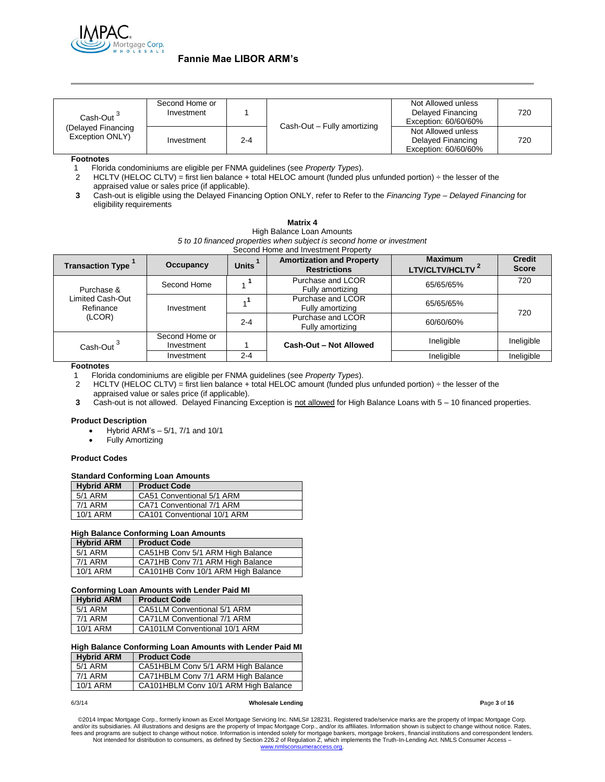

| Cash-Out <sup>3</sup><br>(Delayed Financing<br>Exception ONLY) | Second Home or<br>Investment |         | Cash-Out - Fully amortizing | Not Allowed unless<br>Delayed Financing<br>Exception: 60/60/60% | 720 |
|----------------------------------------------------------------|------------------------------|---------|-----------------------------|-----------------------------------------------------------------|-----|
|                                                                | Investment                   | $2 - 4$ |                             | Not Allowed unless<br>Delayed Financing<br>Exception: 60/60/60% | 720 |

**Footnotes**

1 Florida condominiums are eligible per FNMA guidelines (see *Property Types*).

2 HCLTV (HELOC CLTV) = first lien balance + total HELOC amount (funded plus unfunded portion) ÷ the lesser of the appraised value or sales price (if applicable).

**3** Cash-out is eligible using the Delayed Financing Option ONLY, refer to Refer to the *Financing Type – Delayed Financing* for eligibility requirements

> **Matrix 4** High Balance Loan Amounts

| 5 to 10 financed properties when subject is second home or investment<br>Second Home and Investment Property |                              |              |                                                         |                                               |                               |
|--------------------------------------------------------------------------------------------------------------|------------------------------|--------------|---------------------------------------------------------|-----------------------------------------------|-------------------------------|
| <b>Transaction Type</b>                                                                                      | Occupancy                    | <b>Units</b> | <b>Amortization and Property</b><br><b>Restrictions</b> | <b>Maximum</b><br>LTV/CLTV/HCLTV <sup>2</sup> | <b>Credit</b><br><b>Score</b> |
| Purchase &                                                                                                   | Second Home                  |              | Purchase and LCOR<br>Fully amortizing                   | 65/65/65%                                     | 720                           |
| Limited Cash-Out<br>Refinance<br>(LCOR)                                                                      | Investment                   |              | Purchase and LCOR<br>Fully amortizing                   | 65/65/65%                                     | 720                           |
|                                                                                                              |                              | $2 - 4$      | Purchase and LCOR<br>Fully amortizing                   | 60/60/60%                                     |                               |
| Cash-Out <sup>3</sup>                                                                                        | Second Home or<br>Investment |              | Cash-Out - Not Allowed                                  | Ineligible                                    | Ineligible                    |
|                                                                                                              | Investment                   | $2 - 4$      |                                                         | Ineligible                                    | Ineligible                    |

#### **Footnotes**

1 Florida condominiums are eligible per FNMA guidelines (see *Property Types*).

2 HCLTV (HELOC CLTV) = first lien balance + total HELOC amount (funded plus unfunded portion) ÷ the lesser of the

appraised value or sales price (if applicable).

**3** Cash-out is not allowed. Delayed Financing Exception is not allowed for High Balance Loans with 5 – 10 financed properties.

#### **Product Description**

- Hybrid ARM's 5/1, 7/1 and 10/1
- Fully Amortizing

#### **Product Codes**

#### **Standard Conforming Loan Amounts**

| <b>Hybrid ARM</b> | <b>Product Code</b>         |
|-------------------|-----------------------------|
| 5/1 ARM           | CA51 Conventional 5/1 ARM   |
| 7/1 ARM           | CA71 Conventional 7/1 ARM   |
| 10/1 ARM          | CA101 Conventional 10/1 ARM |

#### **High Balance Conforming Loan Amounts**

| <b>Hybrid ARM</b> | <b>Product Code</b>                |
|-------------------|------------------------------------|
| 5/1 ARM           | CA51HB Conv 5/1 ARM High Balance   |
| 7/1 ARM           | CA71HB Conv 7/1 ARM High Balance   |
| 10/1 ARM          | CA101HB Conv 10/1 ARM High Balance |

#### **Conforming Loan Amounts with Lender Paid MI**

| <b>Hybrid ARM</b> | <b>Product Code</b>           |
|-------------------|-------------------------------|
| 5/1 ARM           | CA51LM Conventional 5/1 ARM   |
| 7/1 ARM           | CA71LM Conventional 7/1 ARM   |
| 10/1 ARM          | CA101LM Conventional 10/1 ARM |

### **High Balance Conforming Loan Amounts with Lender Paid MI**

| <b>Hybrid ARM</b> | <b>Product Code</b>                  |
|-------------------|--------------------------------------|
| 5/1 ARM           | CA51HBLM Conv 5/1 ARM High Balance   |
| 7/1 ARM           | CA71HBLM Conv 7/1 ARM High Balance   |
| 10/1 ARM          | CA101HBLM Conv 10/1 ARM High Balance |

6/3/14 **Wholesale Lending P**age **3** of **16**

©2014 Impac Mortgage Corp., formerly known as Excel Mortgage Servicing Inc. NMLS# 128231. Registered trade/service marks are the property of Impac Mortgage Corp. and/or its subsidiaries. All illustrations and designs are the property of Impac Mortgage Corp., and/or its affiliates. Information shown is subject to change without notice. Rates,<br>fees and programs are subject to change [www.nmlsconsumeraccess.org.](http://www.nmlsconsumeraccess.org/)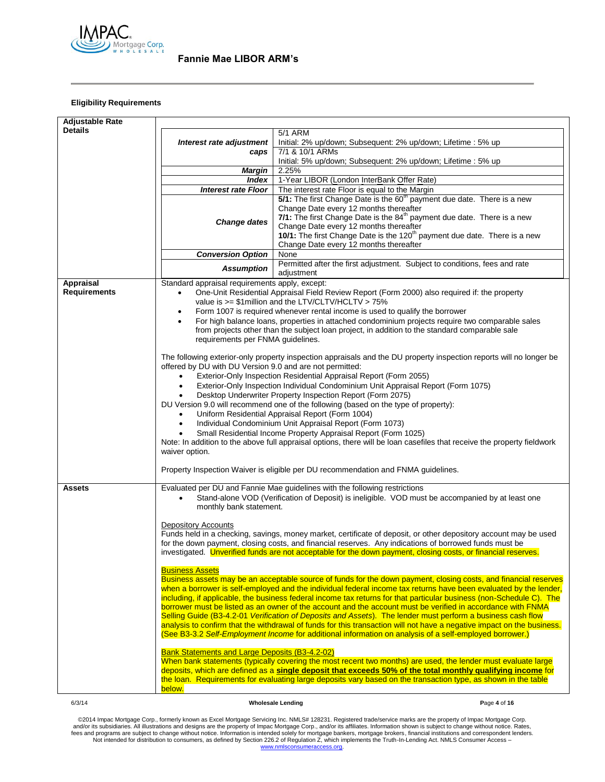

# **Eligibility Requirements**

| <b>Adjustable Rate</b> |                                                                                                                                                                                                                               |                                                                                                                                                                                                                         |              |  |  |  |  |
|------------------------|-------------------------------------------------------------------------------------------------------------------------------------------------------------------------------------------------------------------------------|-------------------------------------------------------------------------------------------------------------------------------------------------------------------------------------------------------------------------|--------------|--|--|--|--|
| <b>Details</b>         |                                                                                                                                                                                                                               | 5/1 ARM                                                                                                                                                                                                                 |              |  |  |  |  |
|                        | Interest rate adjustment                                                                                                                                                                                                      | Initial: 2% up/down; Subsequent: 2% up/down; Lifetime : 5% up                                                                                                                                                           |              |  |  |  |  |
|                        | caps                                                                                                                                                                                                                          | 7/1 & 10/1 ARMs                                                                                                                                                                                                         |              |  |  |  |  |
|                        |                                                                                                                                                                                                                               | Initial: 5% up/down; Subsequent: 2% up/down; Lifetime: 5% up                                                                                                                                                            |              |  |  |  |  |
|                        | <b>Margin</b>                                                                                                                                                                                                                 | 2.25%                                                                                                                                                                                                                   |              |  |  |  |  |
|                        | Index                                                                                                                                                                                                                         | 1-Year LIBOR (London InterBank Offer Rate)                                                                                                                                                                              |              |  |  |  |  |
|                        | <b>Interest rate Floor</b>                                                                                                                                                                                                    | The interest rate Floor is equal to the Margin                                                                                                                                                                          |              |  |  |  |  |
|                        |                                                                                                                                                                                                                               | 5/1: The first Change Date is the 60 <sup>th</sup> payment due date. There is a new                                                                                                                                     |              |  |  |  |  |
|                        |                                                                                                                                                                                                                               | Change Date every 12 months thereafter                                                                                                                                                                                  |              |  |  |  |  |
|                        |                                                                                                                                                                                                                               | 7/1: The first Change Date is the 84 <sup>th</sup> payment due date. There is a new                                                                                                                                     |              |  |  |  |  |
|                        | <b>Change dates</b>                                                                                                                                                                                                           | Change Date every 12 months thereafter                                                                                                                                                                                  |              |  |  |  |  |
|                        |                                                                                                                                                                                                                               | 10/1: The first Change Date is the 120 <sup>th</sup> payment due date. There is a new                                                                                                                                   |              |  |  |  |  |
|                        |                                                                                                                                                                                                                               | Change Date every 12 months thereafter                                                                                                                                                                                  |              |  |  |  |  |
|                        | <b>Conversion Option</b>                                                                                                                                                                                                      | None                                                                                                                                                                                                                    |              |  |  |  |  |
|                        |                                                                                                                                                                                                                               | Permitted after the first adjustment. Subject to conditions, fees and rate                                                                                                                                              |              |  |  |  |  |
|                        | <b>Assumption</b>                                                                                                                                                                                                             | adjustment                                                                                                                                                                                                              |              |  |  |  |  |
| <b>Appraisal</b>       | Standard appraisal requirements apply, except:                                                                                                                                                                                |                                                                                                                                                                                                                         |              |  |  |  |  |
| <b>Requirements</b>    | $\bullet$                                                                                                                                                                                                                     | One-Unit Residential Appraisal Field Review Report (Form 2000) also required if: the property                                                                                                                           |              |  |  |  |  |
|                        |                                                                                                                                                                                                                               | value is >= \$1 million and the LTV/CLTV/HCLTV > 75%                                                                                                                                                                    |              |  |  |  |  |
|                        | ٠                                                                                                                                                                                                                             | Form 1007 is required whenever rental income is used to qualify the borrower                                                                                                                                            |              |  |  |  |  |
|                        |                                                                                                                                                                                                                               | For high balance loans, properties in attached condominium projects require two comparable sales                                                                                                                        |              |  |  |  |  |
|                        |                                                                                                                                                                                                                               | from projects other than the subject loan project, in addition to the standard comparable sale                                                                                                                          |              |  |  |  |  |
|                        | requirements per FNMA guidelines.                                                                                                                                                                                             |                                                                                                                                                                                                                         |              |  |  |  |  |
|                        |                                                                                                                                                                                                                               |                                                                                                                                                                                                                         |              |  |  |  |  |
|                        |                                                                                                                                                                                                                               | The following exterior-only property inspection appraisals and the DU property inspection reports will no longer be                                                                                                     |              |  |  |  |  |
|                        | offered by DU with DU Version 9.0 and are not permitted:                                                                                                                                                                      |                                                                                                                                                                                                                         |              |  |  |  |  |
|                        |                                                                                                                                                                                                                               | Exterior-Only Inspection Residential Appraisal Report (Form 2055)                                                                                                                                                       |              |  |  |  |  |
|                        |                                                                                                                                                                                                                               | Exterior-Only Inspection Individual Condominium Unit Appraisal Report (Form 1075)                                                                                                                                       |              |  |  |  |  |
|                        |                                                                                                                                                                                                                               | Desktop Underwriter Property Inspection Report (Form 2075)                                                                                                                                                              |              |  |  |  |  |
|                        |                                                                                                                                                                                                                               | DU Version 9.0 will recommend one of the following (based on the type of property):                                                                                                                                     |              |  |  |  |  |
|                        | Uniform Residential Appraisal Report (Form 1004)                                                                                                                                                                              |                                                                                                                                                                                                                         |              |  |  |  |  |
|                        | Individual Condominium Unit Appraisal Report (Form 1073)                                                                                                                                                                      |                                                                                                                                                                                                                         |              |  |  |  |  |
|                        | Small Residential Income Property Appraisal Report (Form 1025)<br>Note: In addition to the above full appraisal options, there will be loan casefiles that receive the property fieldwork                                     |                                                                                                                                                                                                                         |              |  |  |  |  |
|                        |                                                                                                                                                                                                                               |                                                                                                                                                                                                                         |              |  |  |  |  |
|                        | waiver option.                                                                                                                                                                                                                |                                                                                                                                                                                                                         |              |  |  |  |  |
|                        |                                                                                                                                                                                                                               |                                                                                                                                                                                                                         |              |  |  |  |  |
|                        | Property Inspection Waiver is eligible per DU recommendation and FNMA guidelines.                                                                                                                                             |                                                                                                                                                                                                                         |              |  |  |  |  |
|                        |                                                                                                                                                                                                                               |                                                                                                                                                                                                                         |              |  |  |  |  |
| Assets                 |                                                                                                                                                                                                                               | Evaluated per DU and Fannie Mae guidelines with the following restrictions                                                                                                                                              |              |  |  |  |  |
|                        |                                                                                                                                                                                                                               | Stand-alone VOD (Verification of Deposit) is ineligible. VOD must be accompanied by at least one                                                                                                                        |              |  |  |  |  |
|                        | monthly bank statement.                                                                                                                                                                                                       |                                                                                                                                                                                                                         |              |  |  |  |  |
|                        |                                                                                                                                                                                                                               |                                                                                                                                                                                                                         |              |  |  |  |  |
|                        | <b>Depository Accounts</b>                                                                                                                                                                                                    |                                                                                                                                                                                                                         |              |  |  |  |  |
|                        |                                                                                                                                                                                                                               | Funds held in a checking, savings, money market, certificate of deposit, or other depository account may be used                                                                                                        |              |  |  |  |  |
|                        |                                                                                                                                                                                                                               | for the down payment, closing costs, and financial reserves. Any indications of borrowed funds must be<br>investigated. Unverified funds are not acceptable for the down payment, closing costs, or financial reserves. |              |  |  |  |  |
|                        |                                                                                                                                                                                                                               |                                                                                                                                                                                                                         |              |  |  |  |  |
|                        | <b>Business Assets</b>                                                                                                                                                                                                        |                                                                                                                                                                                                                         |              |  |  |  |  |
|                        |                                                                                                                                                                                                                               | Business assets may be an acceptable source of funds for the down payment, closing costs, and financial reserves                                                                                                        |              |  |  |  |  |
|                        |                                                                                                                                                                                                                               | when a borrower is self-employed and the individual federal income tax returns have been evaluated by the lender,                                                                                                       |              |  |  |  |  |
|                        |                                                                                                                                                                                                                               | including, if applicable, the business federal income tax returns for that particular business (non-Schedule C). The                                                                                                    |              |  |  |  |  |
|                        |                                                                                                                                                                                                                               | borrower must be listed as an owner of the account and the account must be verified in accordance with FNMA                                                                                                             |              |  |  |  |  |
|                        |                                                                                                                                                                                                                               | Selling Guide (B3-4.2-01 Verification of Deposits and Assets). The lender must perform a business cash flow                                                                                                             |              |  |  |  |  |
|                        |                                                                                                                                                                                                                               | analysis to confirm that the withdrawal of funds for this transaction will not have a negative impact on the business.                                                                                                  |              |  |  |  |  |
|                        |                                                                                                                                                                                                                               | (See B3-3.2 Self-Employment Income for additional information on analysis of a self-employed borrower.)                                                                                                                 |              |  |  |  |  |
|                        |                                                                                                                                                                                                                               |                                                                                                                                                                                                                         |              |  |  |  |  |
|                        | <b>Bank Statements and Large Deposits (B3-4.2-02)</b>                                                                                                                                                                         |                                                                                                                                                                                                                         |              |  |  |  |  |
|                        |                                                                                                                                                                                                                               | When bank statements (typically covering the most recent two months) are used, the lender must evaluate large                                                                                                           |              |  |  |  |  |
|                        | deposits, which are defined as a single deposit that exceeds 50% of the total monthly qualifying income for<br>the loan. Requirements for evaluating large deposits vary based on the transaction type, as shown in the table |                                                                                                                                                                                                                         |              |  |  |  |  |
|                        |                                                                                                                                                                                                                               |                                                                                                                                                                                                                         |              |  |  |  |  |
|                        | below.                                                                                                                                                                                                                        |                                                                                                                                                                                                                         |              |  |  |  |  |
| 6/3/14                 |                                                                                                                                                                                                                               | <b>Wholesale Lending</b>                                                                                                                                                                                                | Page 4 of 16 |  |  |  |  |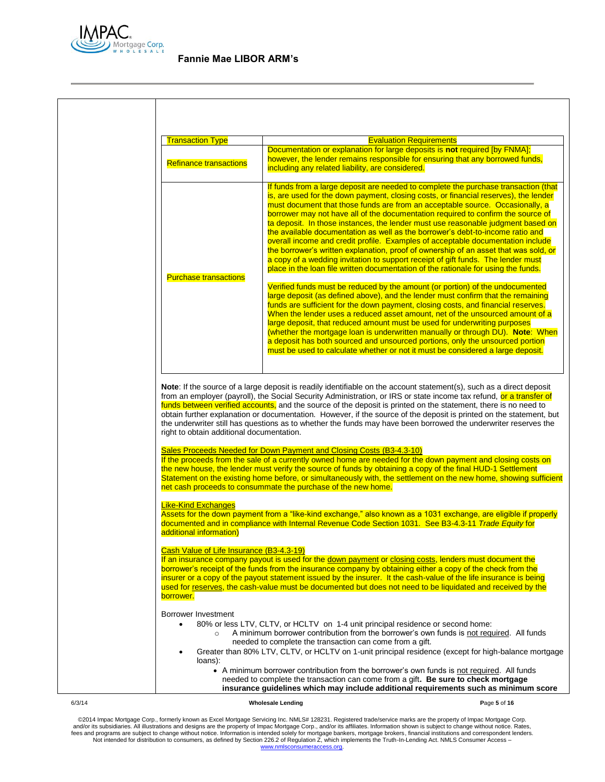

| <b>Transaction Type</b>                                                                                                                                                                                                                                                                                                                                                                                                                                                                                                                                                                                                                               | <b>Evaluation Requirements</b>                                                                                                                                                                                                                                                                                                                                                                                                                                                                                                                                                                                                                                                                                                                                                                                                                                              |  |
|-------------------------------------------------------------------------------------------------------------------------------------------------------------------------------------------------------------------------------------------------------------------------------------------------------------------------------------------------------------------------------------------------------------------------------------------------------------------------------------------------------------------------------------------------------------------------------------------------------------------------------------------------------|-----------------------------------------------------------------------------------------------------------------------------------------------------------------------------------------------------------------------------------------------------------------------------------------------------------------------------------------------------------------------------------------------------------------------------------------------------------------------------------------------------------------------------------------------------------------------------------------------------------------------------------------------------------------------------------------------------------------------------------------------------------------------------------------------------------------------------------------------------------------------------|--|
| <b>Refinance transactions</b>                                                                                                                                                                                                                                                                                                                                                                                                                                                                                                                                                                                                                         | Documentation or explanation for large deposits is not required [by FNMA];<br>however, the lender remains responsible for ensuring that any borrowed funds,<br>including any related liability, are considered.                                                                                                                                                                                                                                                                                                                                                                                                                                                                                                                                                                                                                                                             |  |
|                                                                                                                                                                                                                                                                                                                                                                                                                                                                                                                                                                                                                                                       | If funds from a large deposit are needed to complete the purchase transaction (that<br>is, are used for the down payment, closing costs, or financial reserves), the lender<br>must document that those funds are from an acceptable source. Occasionally, a<br>borrower may not have all of the documentation required to confirm the source of<br>ta deposit. In those instances, the lender must use reasonable judgment based on<br>the available documentation as well as the borrower's debt-to-income ratio and<br>overall income and credit profile. Examples of acceptable documentation include<br>the borrower's written explanation, proof of ownership of an asset that was sold, or<br>a copy of a wedding invitation to support receipt of gift funds. The lender must<br>place in the loan file written documentation of the rationale for using the funds. |  |
| <b>Purchase transactions</b>                                                                                                                                                                                                                                                                                                                                                                                                                                                                                                                                                                                                                          | Verified funds must be reduced by the amount (or portion) of the undocumented<br>large deposit (as defined above), and the lender must confirm that the remaining<br>funds are sufficient for the down payment, closing costs, and financial reserves.<br>When the lender uses a reduced asset amount, net of the unsourced amount of a<br>large deposit, that reduced amount must be used for underwriting purposes<br>(whether the mortgage loan is underwritten manually or through DU). Note: When<br>a deposit has both sourced and unsourced portions, only the unsourced portion<br>must be used to calculate whether or not it must be considered a large deposit.                                                                                                                                                                                                  |  |
| Note: If the source of a large deposit is readily identifiable on the account statement(s), such as a direct deposit<br>from an employer (payroll), the Social Security Administration, or IRS or state income tax refund, or a transfer of<br>funds between verified accounts, and the source of the deposit is printed on the statement, there is no need to<br>obtain further explanation or documentation. However, if the source of the deposit is printed on the statement, but<br>the underwriter still has questions as to whether the funds may have been borrowed the underwriter reserves the<br>right to obtain additional documentation. |                                                                                                                                                                                                                                                                                                                                                                                                                                                                                                                                                                                                                                                                                                                                                                                                                                                                             |  |
|                                                                                                                                                                                                                                                                                                                                                                                                                                                                                                                                                                                                                                                       |                                                                                                                                                                                                                                                                                                                                                                                                                                                                                                                                                                                                                                                                                                                                                                                                                                                                             |  |
|                                                                                                                                                                                                                                                                                                                                                                                                                                                                                                                                                                                                                                                       | Sales Proceeds Needed for Down Payment and Closing Costs (B3-4.3-10)<br>the new house, the lender must verify the source of funds by obtaining a copy of the final HUD-1 Settlement<br>net cash proceeds to consummate the purchase of the new home.                                                                                                                                                                                                                                                                                                                                                                                                                                                                                                                                                                                                                        |  |
|                                                                                                                                                                                                                                                                                                                                                                                                                                                                                                                                                                                                                                                       | If the proceeds from the sale of a currently owned home are needed for the down payment and closing costs on<br>Statement on the existing home before, or simultaneously with, the settlement on the new home, showing sufficient<br>Assets for the down payment from a "like-kind exchange," also known as a 1031 exchange, are eligible if properly<br>documented and in compliance with Internal Revenue Code Section 1031. See B3-4.3-11 Trade Equity for                                                                                                                                                                                                                                                                                                                                                                                                               |  |
|                                                                                                                                                                                                                                                                                                                                                                                                                                                                                                                                                                                                                                                       | If an insurance company payout is used for the down payment or closing costs, lenders must document the<br>borrower's receipt of the funds from the insurance company by obtaining either a copy of the check from the<br>insurer or a copy of the payout statement issued by the insurer. It the cash-value of the life insurance is being<br>used for reserves, the cash-value must be documented but does not need to be liquidated and received by the                                                                                                                                                                                                                                                                                                                                                                                                                  |  |
| <b>Like-Kind Exchanges</b><br>additional information)<br>Cash Value of Life Insurance (B3-4.3-19)<br>borrower.<br>Borrower Investment<br>loans):                                                                                                                                                                                                                                                                                                                                                                                                                                                                                                      | 80% or less LTV, CLTV, or HCLTV on 1-4 unit principal residence or second home:<br>A minimum borrower contribution from the borrower's own funds is not required. All funds<br>needed to complete the transaction can come from a gift.<br>Greater than 80% LTV, CLTV, or HCLTV on 1-unit principal residence (except for high-balance mortgage<br>• A minimum borrower contribution from the borrower's own funds is not required. All funds                                                                                                                                                                                                                                                                                                                                                                                                                               |  |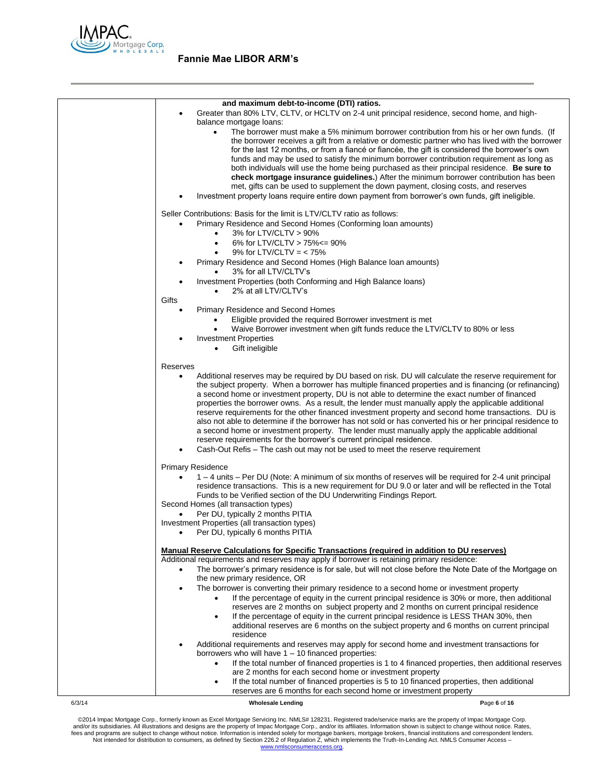

|        | and maximum debt-to-income (DTI) ratios.<br>Greater than 80% LTV, CLTV, or HCLTV on 2-4 unit principal residence, second home, and high-<br>٠<br>balance mortgage loans:<br>The borrower must make a 5% minimum borrower contribution from his or her own funds. (If<br>٠<br>the borrower receives a gift from a relative or domestic partner who has lived with the borrower<br>for the last 12 months, or from a fiance or fiancee, the gift is considered the borrower's own<br>funds and may be used to satisfy the minimum borrower contribution requirement as long as<br>both individuals will use the home being purchased as their principal residence. Be sure to<br>check mortgage insurance guidelines.) After the minimum borrower contribution has been<br>met, gifts can be used to supplement the down payment, closing costs, and reserves<br>Investment property loans require entire down payment from borrower's own funds, gift ineligible.                                                   |              |
|--------|--------------------------------------------------------------------------------------------------------------------------------------------------------------------------------------------------------------------------------------------------------------------------------------------------------------------------------------------------------------------------------------------------------------------------------------------------------------------------------------------------------------------------------------------------------------------------------------------------------------------------------------------------------------------------------------------------------------------------------------------------------------------------------------------------------------------------------------------------------------------------------------------------------------------------------------------------------------------------------------------------------------------|--------------|
|        | Seller Contributions: Basis for the limit is LTV/CLTV ratio as follows:<br>Primary Residence and Second Homes (Conforming loan amounts)<br>3% for LTV/CLTV > 90%<br>$\bullet$<br>6% for LTV/CLTV > 75% <= 90%<br>$\bullet$<br>9% for LTV/CLTV = $<$ 75%<br>Primary Residence and Second Homes (High Balance Ioan amounts)<br>3% for all LTV/CLTV's<br>Investment Properties (both Conforming and High Balance Ioans)                                                                                                                                                                                                                                                                                                                                                                                                                                                                                                                                                                                               |              |
|        | 2% at all LTV/CLTV's<br>Gifts<br>Primary Residence and Second Homes<br>Eligible provided the required Borrower investment is met<br>Waive Borrower investment when gift funds reduce the LTV/CLTV to 80% or less<br><b>Investment Properties</b><br>Gift ineligible<br>$\bullet$                                                                                                                                                                                                                                                                                                                                                                                                                                                                                                                                                                                                                                                                                                                                   |              |
|        | Reserves<br>Additional reserves may be required by DU based on risk. DU will calculate the reserve requirement for<br>$\bullet$<br>the subject property. When a borrower has multiple financed properties and is financing (or refinancing)<br>a second home or investment property, DU is not able to determine the exact number of financed<br>properties the borrower owns. As a result, the lender must manually apply the applicable additional<br>reserve requirements for the other financed investment property and second home transactions. DU is<br>also not able to determine if the borrower has not sold or has converted his or her principal residence to<br>a second home or investment property. The lender must manually apply the applicable additional<br>reserve requirements for the borrower's current principal residence.<br>Cash-Out Refis – The cash out may not be used to meet the reserve requirement                                                                               |              |
|        | <b>Primary Residence</b><br>1 – 4 units – Per DU (Note: A minimum of six months of reserves will be required for 2-4 unit principal<br>residence transactions. This is a new requirement for DU 9.0 or later and will be reflected in the Total<br>Funds to be Verified section of the DU Underwriting Findings Report.<br>Second Homes (all transaction types)<br>Per DU, typically 2 months PITIA<br>Investment Properties (all transaction types)<br>Per DU, typically 6 months PITIA<br>$\bullet$                                                                                                                                                                                                                                                                                                                                                                                                                                                                                                              |              |
|        | <b>Manual Reserve Calculations for Specific Transactions (required in addition to DU reserves)</b><br>Additional requirements and reserves may apply if borrower is retaining primary residence:<br>The borrower's primary residence is for sale, but will not close before the Note Date of the Mortgage on<br>the new primary residence, OR<br>The borrower is converting their primary residence to a second home or investment property<br>If the percentage of equity in the current principal residence is 30% or more, then additional<br>reserves are 2 months on subject property and 2 months on current principal residence<br>If the percentage of equity in the current principal residence is LESS THAN 30%, then<br>$\bullet$<br>additional reserves are 6 months on the subject property and 6 months on current principal<br>residence<br>Additional requirements and reserves may apply for second home and investment transactions for<br>borrowers who will have $1 - 10$ financed properties: |              |
|        | If the total number of financed properties is 1 to 4 financed properties, then additional reserves<br>are 2 months for each second home or investment property<br>If the total number of financed properties is 5 to 10 financed properties, then additional<br>reserves are 6 months for each second home or investment property                                                                                                                                                                                                                                                                                                                                                                                                                                                                                                                                                                                                                                                                                  |              |
| 6/3/14 | <b>Wholesale Lending</b>                                                                                                                                                                                                                                                                                                                                                                                                                                                                                                                                                                                                                                                                                                                                                                                                                                                                                                                                                                                           | Page 6 of 16 |

@2014 Impac Mortgage Corp., formerly known as Excel Mortgage Servicing Inc. NMLS# 128231. Registered trade/service marks are the property of Impac Mortgage Corp.<br>https://www.assurfactions and designs are the property of Im [www.nmlsconsumeraccess.org.](http://www.nmlsconsumeraccess.org/)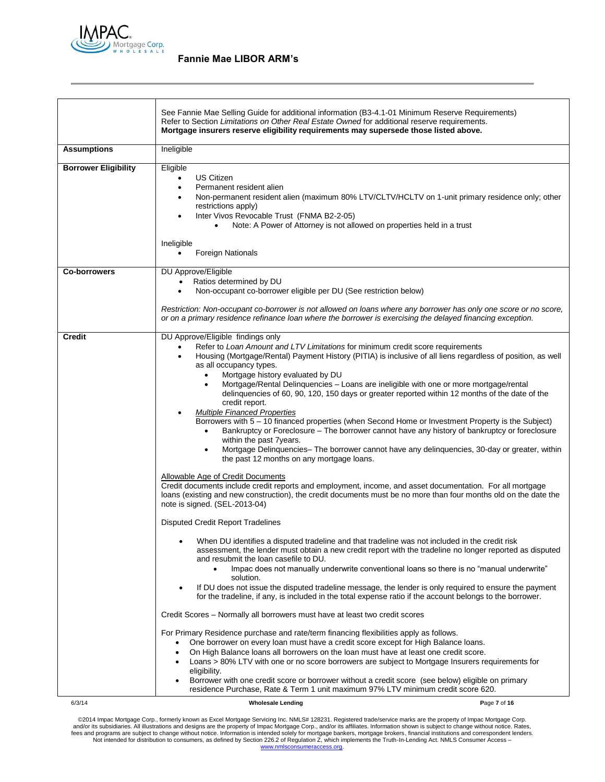

|                             | See Fannie Mae Selling Guide for additional information (B3-4.1-01 Minimum Reserve Requirements)<br>Refer to Section Limitations on Other Real Estate Owned for additional reserve requirements.<br>Mortgage insurers reserve eligibility requirements may supersede those listed above.                                                                                                                                                                                                                                                                                                                                                                                                                                                                                                                                                                                                                                                                                                                                                                                                                                                                                                                                                                                                                                                                                                                                                                                                                                                                   |              |
|-----------------------------|------------------------------------------------------------------------------------------------------------------------------------------------------------------------------------------------------------------------------------------------------------------------------------------------------------------------------------------------------------------------------------------------------------------------------------------------------------------------------------------------------------------------------------------------------------------------------------------------------------------------------------------------------------------------------------------------------------------------------------------------------------------------------------------------------------------------------------------------------------------------------------------------------------------------------------------------------------------------------------------------------------------------------------------------------------------------------------------------------------------------------------------------------------------------------------------------------------------------------------------------------------------------------------------------------------------------------------------------------------------------------------------------------------------------------------------------------------------------------------------------------------------------------------------------------------|--------------|
| <b>Assumptions</b>          | Ineligible                                                                                                                                                                                                                                                                                                                                                                                                                                                                                                                                                                                                                                                                                                                                                                                                                                                                                                                                                                                                                                                                                                                                                                                                                                                                                                                                                                                                                                                                                                                                                 |              |
| <b>Borrower Eligibility</b> | Eligible<br><b>US Citizen</b><br>Permanent resident alien<br>$\bullet$<br>Non-permanent resident alien (maximum 80% LTV/CLTV/HCLTV on 1-unit primary residence only; other<br>restrictions apply)<br>Inter Vivos Revocable Trust (FNMA B2-2-05)<br>Note: A Power of Attorney is not allowed on properties held in a trust<br>Ineligible<br><b>Foreign Nationals</b>                                                                                                                                                                                                                                                                                                                                                                                                                                                                                                                                                                                                                                                                                                                                                                                                                                                                                                                                                                                                                                                                                                                                                                                        |              |
| <b>Co-borrowers</b>         | DU Approve/Eligible<br>Ratios determined by DU<br>Non-occupant co-borrower eligible per DU (See restriction below)<br>$\bullet$                                                                                                                                                                                                                                                                                                                                                                                                                                                                                                                                                                                                                                                                                                                                                                                                                                                                                                                                                                                                                                                                                                                                                                                                                                                                                                                                                                                                                            |              |
|                             | Restriction: Non-occupant co-borrower is not allowed on loans where any borrower has only one score or no score,<br>or on a primary residence refinance loan where the borrower is exercising the delayed financing exception.                                                                                                                                                                                                                                                                                                                                                                                                                                                                                                                                                                                                                                                                                                                                                                                                                                                                                                                                                                                                                                                                                                                                                                                                                                                                                                                             |              |
| <b>Credit</b>               | DU Approve/Eligible findings only<br>Refer to Loan Amount and LTV Limitations for minimum credit score requirements<br>Housing (Mortgage/Rental) Payment History (PITIA) is inclusive of all liens regardless of position, as well<br>as all occupancy types.<br>Mortgage history evaluated by DU<br>$\bullet$<br>Mortgage/Rental Delinquencies - Loans are ineligible with one or more mortgage/rental<br>$\bullet$<br>delinquencies of 60, 90, 120, 150 days or greater reported within 12 months of the date of the<br>credit report.<br><b>Multiple Financed Properties</b><br>Borrowers with 5 - 10 financed properties (when Second Home or Investment Property is the Subject)<br>Bankruptcy or Foreclosure - The borrower cannot have any history of bankruptcy or foreclosure<br>$\bullet$<br>within the past 7years.<br>Mortgage Delinquencies- The borrower cannot have any delinquencies, 30-day or greater, within<br>$\bullet$<br>the past 12 months on any mortgage loans.<br>Allowable Age of Credit Documents<br>Credit documents include credit reports and employment, income, and asset documentation. For all mortgage<br>loans (existing and new construction), the credit documents must be no more than four months old on the date the<br>note is signed. (SEL-2013-04)<br><b>Disputed Credit Report Tradelines</b><br>When DU identifies a disputed tradeline and that tradeline was not included in the credit risk<br>assessment, the lender must obtain a new credit report with the tradeline no longer reported as disputed |              |
|                             | and resubmit the loan casefile to DU.<br>Impac does not manually underwrite conventional loans so there is no "manual underwrite"<br>solution.<br>If DU does not issue the disputed tradeline message, the lender is only required to ensure the payment<br>for the tradeline, if any, is included in the total expense ratio if the account belongs to the borrower.                                                                                                                                                                                                                                                                                                                                                                                                                                                                                                                                                                                                                                                                                                                                                                                                                                                                                                                                                                                                                                                                                                                                                                                      |              |
|                             | Credit Scores - Normally all borrowers must have at least two credit scores                                                                                                                                                                                                                                                                                                                                                                                                                                                                                                                                                                                                                                                                                                                                                                                                                                                                                                                                                                                                                                                                                                                                                                                                                                                                                                                                                                                                                                                                                |              |
|                             | For Primary Residence purchase and rate/term financing flexibilities apply as follows.<br>One borrower on every loan must have a credit score except for High Balance loans.<br>On High Balance loans all borrowers on the loan must have at least one credit score.<br>$\bullet$<br>Loans > 80% LTV with one or no score borrowers are subject to Mortgage Insurers requirements for<br>eligibility.<br>Borrower with one credit score or borrower without a credit score (see below) eligible on primary<br>$\bullet$<br>residence Purchase, Rate & Term 1 unit maximum 97% LTV minimum credit score 620.                                                                                                                                                                                                                                                                                                                                                                                                                                                                                                                                                                                                                                                                                                                                                                                                                                                                                                                                                |              |
| 6/3/14                      | <b>Wholesale Lending</b>                                                                                                                                                                                                                                                                                                                                                                                                                                                                                                                                                                                                                                                                                                                                                                                                                                                                                                                                                                                                                                                                                                                                                                                                                                                                                                                                                                                                                                                                                                                                   | Page 7 of 16 |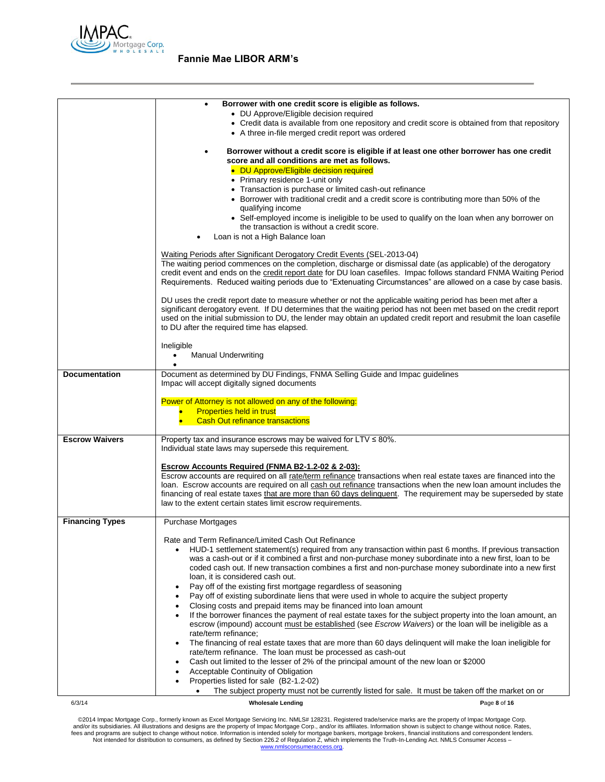

|                        | Borrower with one credit score is eligible as follows.                                                                                                                                                                                    |
|------------------------|-------------------------------------------------------------------------------------------------------------------------------------------------------------------------------------------------------------------------------------------|
|                        | • DU Approve/Eligible decision required<br>• Credit data is available from one repository and credit score is obtained from that repository                                                                                               |
|                        | • A three in-file merged credit report was ordered                                                                                                                                                                                        |
|                        |                                                                                                                                                                                                                                           |
|                        | Borrower without a credit score is eligible if at least one other borrower has one credit                                                                                                                                                 |
|                        | score and all conditions are met as follows.                                                                                                                                                                                              |
|                        | • DU Approve/Eligible decision required                                                                                                                                                                                                   |
|                        | • Primary residence 1-unit only                                                                                                                                                                                                           |
|                        | • Transaction is purchase or limited cash-out refinance<br>• Borrower with traditional credit and a credit score is contributing more than 50% of the                                                                                     |
|                        | qualifying income                                                                                                                                                                                                                         |
|                        | • Self-employed income is ineligible to be used to qualify on the loan when any borrower on                                                                                                                                               |
|                        | the transaction is without a credit score.                                                                                                                                                                                                |
|                        | Loan is not a High Balance loan                                                                                                                                                                                                           |
|                        |                                                                                                                                                                                                                                           |
|                        | Waiting Periods after Significant Derogatory Credit Events (SEL-2013-04)<br>The waiting period commences on the completion, discharge or dismissal date (as applicable) of the derogatory                                                 |
|                        | credit event and ends on the credit report date for DU loan casefiles. Impac follows standard FNMA Waiting Period                                                                                                                         |
|                        | Requirements. Reduced waiting periods due to "Extenuating Circumstances" are allowed on a case by case basis.                                                                                                                             |
|                        |                                                                                                                                                                                                                                           |
|                        | DU uses the credit report date to measure whether or not the applicable waiting period has been met after a                                                                                                                               |
|                        | significant derogatory event. If DU determines that the waiting period has not been met based on the credit report<br>used on the initial submission to DU, the lender may obtain an updated credit report and resubmit the loan casefile |
|                        | to DU after the required time has elapsed.                                                                                                                                                                                                |
|                        |                                                                                                                                                                                                                                           |
|                        | Ineligible                                                                                                                                                                                                                                |
|                        | <b>Manual Underwriting</b><br>٠                                                                                                                                                                                                           |
| <b>Documentation</b>   |                                                                                                                                                                                                                                           |
|                        | Document as determined by DU Findings, FNMA Selling Guide and Impac guidelines<br>Impac will accept digitally signed documents                                                                                                            |
|                        |                                                                                                                                                                                                                                           |
|                        | Power of Attorney is not allowed on any of the following:                                                                                                                                                                                 |
|                        | <b>Properties held in trust</b><br>$\bullet$                                                                                                                                                                                              |
|                        | <b>Cash Out refinance transactions</b>                                                                                                                                                                                                    |
| <b>Escrow Waivers</b>  | Property tax and insurance escrows may be waived for $LTV \leq 80\%$ .                                                                                                                                                                    |
|                        | Individual state laws may supersede this requirement.                                                                                                                                                                                     |
|                        |                                                                                                                                                                                                                                           |
|                        | <b>Escrow Accounts Required (FNMA B2-1.2-02 &amp; 2-03):</b>                                                                                                                                                                              |
|                        | Escrow accounts are required on all rate/term refinance transactions when real estate taxes are financed into the<br>loan. Escrow accounts are required on all cash out refinance transactions when the new loan amount includes the      |
|                        | financing of real estate taxes that are more than 60 days delinquent. The requirement may be superseded by state                                                                                                                          |
|                        | law to the extent certain states limit escrow requirements.                                                                                                                                                                               |
|                        |                                                                                                                                                                                                                                           |
| <b>Financing Types</b> | <b>Purchase Mortgages</b>                                                                                                                                                                                                                 |
|                        | Rate and Term Refinance/Limited Cash Out Refinance                                                                                                                                                                                        |
|                        | HUD-1 settlement statement(s) required from any transaction within past 6 months. If previous transaction                                                                                                                                 |
|                        | was a cash-out or if it combined a first and non-purchase money subordinate into a new first, loan to be                                                                                                                                  |
|                        | coded cash out. If new transaction combines a first and non-purchase money subordinate into a new first                                                                                                                                   |
|                        | loan, it is considered cash out.                                                                                                                                                                                                          |
|                        | Pay off of the existing first mortgage regardless of seasoning<br>$\bullet$<br>Pay off of existing subordinate liens that were used in whole to acquire the subject property                                                              |
|                        | $\bullet$<br>Closing costs and prepaid items may be financed into loan amount<br>٠                                                                                                                                                        |
|                        | If the borrower finances the payment of real estate taxes for the subject property into the loan amount, an<br>$\bullet$                                                                                                                  |
|                        | escrow (impound) account must be established (see Escrow Waivers) or the loan will be ineligible as a                                                                                                                                     |
|                        | rate/term refinance;                                                                                                                                                                                                                      |
|                        | The financing of real estate taxes that are more than 60 days delinguent will make the loan ineligible for<br>$\bullet$                                                                                                                   |
|                        | rate/term refinance. The loan must be processed as cash-out<br>Cash out limited to the lesser of 2% of the principal amount of the new loan or \$2000                                                                                     |
|                        | $\bullet$<br>Acceptable Continuity of Obligation<br>$\bullet$                                                                                                                                                                             |
|                        | Properties listed for sale (B2-1.2-02)<br>$\bullet$                                                                                                                                                                                       |
|                        | The subject property must not be currently listed for sale. It must be taken off the market on or                                                                                                                                         |
| 6/3/14                 | <b>Wholesale Lending</b><br>Page 8 of 16                                                                                                                                                                                                  |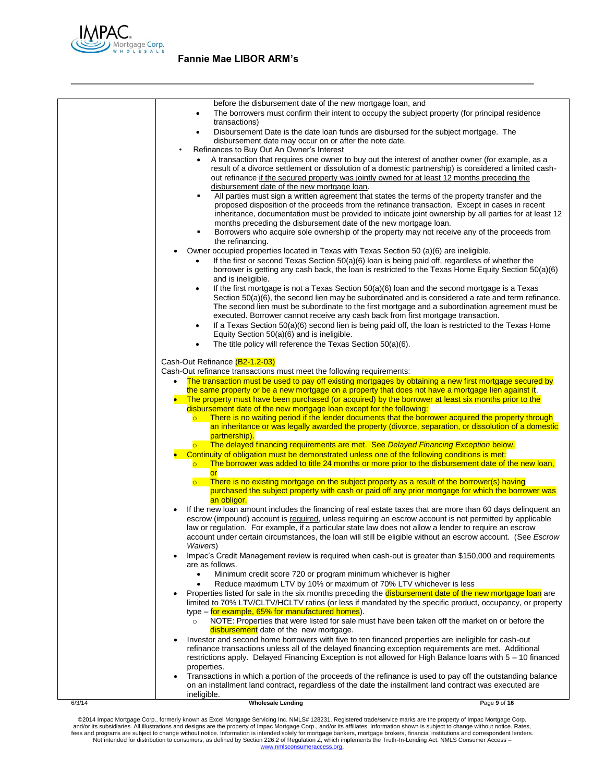

| before the disbursement date of the new mortgage loan, and<br>The borrowers must confirm their intent to occupy the subject property (for principal residence<br>٠<br>transactions)<br>Disbursement Date is the date loan funds are disbursed for the subject mortgage. The<br>٠<br>disbursement date may occur on or after the note date.<br>Refinances to Buy Out An Owner's Interest<br>A transaction that requires one owner to buy out the interest of another owner (for example, as a<br>result of a divorce settlement or dissolution of a domestic partnership) is considered a limited cash-<br>out refinance if the secured property was jointly owned for at least 12 months preceding the<br>disbursement date of the new mortgage loan.<br>All parties must sign a written agreement that states the terms of the property transfer and the<br>٠<br>proposed disposition of the proceeds from the refinance transaction. Except in cases in recent<br>inheritance, documentation must be provided to indicate joint ownership by all parties for at least 12<br>months preceding the disbursement date of the new mortgage loan.<br>Borrowers who acquire sole ownership of the property may not receive any of the proceeds from<br>٠<br>the refinancing.<br>Owner occupied properties located in Texas with Texas Section 50 (a)(6) are ineligible.<br>If the first or second Texas Section 50(a)(6) loan is being paid off, regardless of whether the<br>borrower is getting any cash back, the loan is restricted to the Texas Home Equity Section 50(a)(6)<br>and is ineligible.<br>If the first mortgage is not a Texas Section $50(a)(6)$ loan and the second mortgage is a Texas<br>٠<br>Section $50(a)(6)$ , the second lien may be subordinated and is considered a rate and term refinance.<br>The second lien must be subordinate to the first mortgage and a subordination agreement must be<br>executed. Borrower cannot receive any cash back from first mortgage transaction.<br>If a Texas Section 50(a)(6) second lien is being paid off, the loan is restricted to the Texas Home<br>٠<br>Equity Section 50(a)(6) and is ineligible.<br>The title policy will reference the Texas Section 50(a)(6).<br>$\bullet$<br>Cash-Out Refinance (B2-1.2-03)<br>Cash-Out refinance transactions must meet the following requirements:<br>The transaction must be used to pay off existing mortgages by obtaining a new first mortgage secured by<br>$\bullet$<br>the same property or be a new mortgage on a property that does not have a mortgage lien against it.<br>The property must have been purchased (or acquired) by the borrower at least six months prior to the<br>disbursement date of the new mortgage loan except for the following:<br>There is no waiting period if the lender documents that the borrower acquired the property through<br>$\circ$<br>an inheritance or was legally awarded the property (divorce, separation, or dissolution of a domestic<br>partnership).<br>The delayed financing requirements are met. See Delayed Financing Exception below.<br>$\overline{\circ}$<br>Continuity of obligation must be demonstrated unless one of the following conditions is met:<br>The borrower was added to title 24 months or more prior to the disbursement date of the new loan,<br>$\overline{\bullet}$<br><b>or</b><br>There is no existing mortgage on the subject property as a result of the borrower(s) having<br>$\overline{\mathsf{C}}$<br>purchased the subject property with cash or paid off any prior mortgage for which the borrower was<br>an obligor.<br>If the new loan amount includes the financing of real estate taxes that are more than 60 days delinquent an<br>escrow (impound) account is required, unless requiring an escrow account is not permitted by applicable<br>law or regulation. For example, if a particular state law does not allow a lender to require an escrow<br>account under certain circumstances, the loan will still be eligible without an escrow account. (See Escrow<br>Waivers)<br>Impac's Credit Management review is required when cash-out is greater than \$150,000 and requirements<br>are as follows.<br>Minimum credit score 720 or program minimum whichever is higher<br>Reduce maximum LTV by 10% or maximum of 70% LTV whichever is less<br>$\bullet$<br>Properties listed for sale in the six months preceding the disbursement date of the new mortgage loan are<br>limited to 70% LTV/CLTV/HCLTV ratios (or less if mandated by the specific product, occupancy, or property<br>type - for example, 65% for manufactured homes).<br>NOTE: Properties that were listed for sale must have been taken off the market on or before the<br>$\circ$<br>disbursement date of the new mortgage.<br>Investor and second home borrowers with five to ten financed properties are ineligible for cash-out<br>refinance transactions unless all of the delayed financing exception requirements are met. Additional<br>restrictions apply. Delayed Financing Exception is not allowed for High Balance loans with 5 - 10 financed<br>properties.<br>Transactions in which a portion of the proceeds of the refinance is used to pay off the outstanding balance<br>on an installment land contract, regardless of the date the installment land contract was executed are | 6/3/14 | <b>Wholesale Lending</b> | Page 9 of 16 |
|-----------------------------------------------------------------------------------------------------------------------------------------------------------------------------------------------------------------------------------------------------------------------------------------------------------------------------------------------------------------------------------------------------------------------------------------------------------------------------------------------------------------------------------------------------------------------------------------------------------------------------------------------------------------------------------------------------------------------------------------------------------------------------------------------------------------------------------------------------------------------------------------------------------------------------------------------------------------------------------------------------------------------------------------------------------------------------------------------------------------------------------------------------------------------------------------------------------------------------------------------------------------------------------------------------------------------------------------------------------------------------------------------------------------------------------------------------------------------------------------------------------------------------------------------------------------------------------------------------------------------------------------------------------------------------------------------------------------------------------------------------------------------------------------------------------------------------------------------------------------------------------------------------------------------------------------------------------------------------------------------------------------------------------------------------------------------------------------------------------------------------------------------------------------------------------------------------------------------------------------------------------------------------------------------------------------------------------------------------------------------------------------------------------------------------------------------------------------------------------------------------------------------------------------------------------------------------------------------------------------------------------------------------------------------------------------------------------------------------------------------------------------------------------------------------------------------------------------------------------------------------------------------------------------------------------------------------------------------------------------------------------------------------------------------------------------------------------------------------------------------------------------------------------------------------------------------------------------------------------------------------------------------------------------------------------------------------------------------------------------------------------------------------------------------------------------------------------------------------------------------------------------------------------------------------------------------------------------------------------------------------------------------------------------------------------------------------------------------------------------------------------------------------------------------------------------------------------------------------------------------------------------------------------------------------------------------------------------------------------------------------------------------------------------------------------------------------------------------------------------------------------------------------------------------------------------------------------------------------------------------------------------------------------------------------------------------------------------------------------------------------------------------------------------------------------------------------------------------------------------------------------------------------------------------------------------------------------------------------------------------------------------------------------------------------------------------------------------------------------------------------------------------------------------------------------------------------------------------------------------------------------------------------------------------------------------------------------------------------------------------------------------------------------------------------------------------------------------------------------------------------------------------------------------------------------------------------------------------------------------------------------------------------------------------------------------------------------------------------------------------------------------|--------|--------------------------|--------------|
|                                                                                                                                                                                                                                                                                                                                                                                                                                                                                                                                                                                                                                                                                                                                                                                                                                                                                                                                                                                                                                                                                                                                                                                                                                                                                                                                                                                                                                                                                                                                                                                                                                                                                                                                                                                                                                                                                                                                                                                                                                                                                                                                                                                                                                                                                                                                                                                                                                                                                                                                                                                                                                                                                                                                                                                                                                                                                                                                                                                                                                                                                                                                                                                                                                                                                                                                                                                                                                                                                                                                                                                                                                                                                                                                                                                                                                                                                                                                                                                                                                                                                                                                                                                                                                                                                                                                                                                                                                                                                                                                                                                                                                                                                                                                                                                                                                                                                                                                                                                                                                                                                                                                                                                                                                                                                                                                                                                         |        | ineligible.              |              |
|                                                                                                                                                                                                                                                                                                                                                                                                                                                                                                                                                                                                                                                                                                                                                                                                                                                                                                                                                                                                                                                                                                                                                                                                                                                                                                                                                                                                                                                                                                                                                                                                                                                                                                                                                                                                                                                                                                                                                                                                                                                                                                                                                                                                                                                                                                                                                                                                                                                                                                                                                                                                                                                                                                                                                                                                                                                                                                                                                                                                                                                                                                                                                                                                                                                                                                                                                                                                                                                                                                                                                                                                                                                                                                                                                                                                                                                                                                                                                                                                                                                                                                                                                                                                                                                                                                                                                                                                                                                                                                                                                                                                                                                                                                                                                                                                                                                                                                                                                                                                                                                                                                                                                                                                                                                                                                                                                                                         |        |                          |              |
|                                                                                                                                                                                                                                                                                                                                                                                                                                                                                                                                                                                                                                                                                                                                                                                                                                                                                                                                                                                                                                                                                                                                                                                                                                                                                                                                                                                                                                                                                                                                                                                                                                                                                                                                                                                                                                                                                                                                                                                                                                                                                                                                                                                                                                                                                                                                                                                                                                                                                                                                                                                                                                                                                                                                                                                                                                                                                                                                                                                                                                                                                                                                                                                                                                                                                                                                                                                                                                                                                                                                                                                                                                                                                                                                                                                                                                                                                                                                                                                                                                                                                                                                                                                                                                                                                                                                                                                                                                                                                                                                                                                                                                                                                                                                                                                                                                                                                                                                                                                                                                                                                                                                                                                                                                                                                                                                                                                         |        |                          |              |
|                                                                                                                                                                                                                                                                                                                                                                                                                                                                                                                                                                                                                                                                                                                                                                                                                                                                                                                                                                                                                                                                                                                                                                                                                                                                                                                                                                                                                                                                                                                                                                                                                                                                                                                                                                                                                                                                                                                                                                                                                                                                                                                                                                                                                                                                                                                                                                                                                                                                                                                                                                                                                                                                                                                                                                                                                                                                                                                                                                                                                                                                                                                                                                                                                                                                                                                                                                                                                                                                                                                                                                                                                                                                                                                                                                                                                                                                                                                                                                                                                                                                                                                                                                                                                                                                                                                                                                                                                                                                                                                                                                                                                                                                                                                                                                                                                                                                                                                                                                                                                                                                                                                                                                                                                                                                                                                                                                                         |        |                          |              |
|                                                                                                                                                                                                                                                                                                                                                                                                                                                                                                                                                                                                                                                                                                                                                                                                                                                                                                                                                                                                                                                                                                                                                                                                                                                                                                                                                                                                                                                                                                                                                                                                                                                                                                                                                                                                                                                                                                                                                                                                                                                                                                                                                                                                                                                                                                                                                                                                                                                                                                                                                                                                                                                                                                                                                                                                                                                                                                                                                                                                                                                                                                                                                                                                                                                                                                                                                                                                                                                                                                                                                                                                                                                                                                                                                                                                                                                                                                                                                                                                                                                                                                                                                                                                                                                                                                                                                                                                                                                                                                                                                                                                                                                                                                                                                                                                                                                                                                                                                                                                                                                                                                                                                                                                                                                                                                                                                                                         |        |                          |              |
|                                                                                                                                                                                                                                                                                                                                                                                                                                                                                                                                                                                                                                                                                                                                                                                                                                                                                                                                                                                                                                                                                                                                                                                                                                                                                                                                                                                                                                                                                                                                                                                                                                                                                                                                                                                                                                                                                                                                                                                                                                                                                                                                                                                                                                                                                                                                                                                                                                                                                                                                                                                                                                                                                                                                                                                                                                                                                                                                                                                                                                                                                                                                                                                                                                                                                                                                                                                                                                                                                                                                                                                                                                                                                                                                                                                                                                                                                                                                                                                                                                                                                                                                                                                                                                                                                                                                                                                                                                                                                                                                                                                                                                                                                                                                                                                                                                                                                                                                                                                                                                                                                                                                                                                                                                                                                                                                                                                         |        |                          |              |
|                                                                                                                                                                                                                                                                                                                                                                                                                                                                                                                                                                                                                                                                                                                                                                                                                                                                                                                                                                                                                                                                                                                                                                                                                                                                                                                                                                                                                                                                                                                                                                                                                                                                                                                                                                                                                                                                                                                                                                                                                                                                                                                                                                                                                                                                                                                                                                                                                                                                                                                                                                                                                                                                                                                                                                                                                                                                                                                                                                                                                                                                                                                                                                                                                                                                                                                                                                                                                                                                                                                                                                                                                                                                                                                                                                                                                                                                                                                                                                                                                                                                                                                                                                                                                                                                                                                                                                                                                                                                                                                                                                                                                                                                                                                                                                                                                                                                                                                                                                                                                                                                                                                                                                                                                                                                                                                                                                                         |        |                          |              |
|                                                                                                                                                                                                                                                                                                                                                                                                                                                                                                                                                                                                                                                                                                                                                                                                                                                                                                                                                                                                                                                                                                                                                                                                                                                                                                                                                                                                                                                                                                                                                                                                                                                                                                                                                                                                                                                                                                                                                                                                                                                                                                                                                                                                                                                                                                                                                                                                                                                                                                                                                                                                                                                                                                                                                                                                                                                                                                                                                                                                                                                                                                                                                                                                                                                                                                                                                                                                                                                                                                                                                                                                                                                                                                                                                                                                                                                                                                                                                                                                                                                                                                                                                                                                                                                                                                                                                                                                                                                                                                                                                                                                                                                                                                                                                                                                                                                                                                                                                                                                                                                                                                                                                                                                                                                                                                                                                                                         |        |                          |              |
|                                                                                                                                                                                                                                                                                                                                                                                                                                                                                                                                                                                                                                                                                                                                                                                                                                                                                                                                                                                                                                                                                                                                                                                                                                                                                                                                                                                                                                                                                                                                                                                                                                                                                                                                                                                                                                                                                                                                                                                                                                                                                                                                                                                                                                                                                                                                                                                                                                                                                                                                                                                                                                                                                                                                                                                                                                                                                                                                                                                                                                                                                                                                                                                                                                                                                                                                                                                                                                                                                                                                                                                                                                                                                                                                                                                                                                                                                                                                                                                                                                                                                                                                                                                                                                                                                                                                                                                                                                                                                                                                                                                                                                                                                                                                                                                                                                                                                                                                                                                                                                                                                                                                                                                                                                                                                                                                                                                         |        |                          |              |
|                                                                                                                                                                                                                                                                                                                                                                                                                                                                                                                                                                                                                                                                                                                                                                                                                                                                                                                                                                                                                                                                                                                                                                                                                                                                                                                                                                                                                                                                                                                                                                                                                                                                                                                                                                                                                                                                                                                                                                                                                                                                                                                                                                                                                                                                                                                                                                                                                                                                                                                                                                                                                                                                                                                                                                                                                                                                                                                                                                                                                                                                                                                                                                                                                                                                                                                                                                                                                                                                                                                                                                                                                                                                                                                                                                                                                                                                                                                                                                                                                                                                                                                                                                                                                                                                                                                                                                                                                                                                                                                                                                                                                                                                                                                                                                                                                                                                                                                                                                                                                                                                                                                                                                                                                                                                                                                                                                                         |        |                          |              |
|                                                                                                                                                                                                                                                                                                                                                                                                                                                                                                                                                                                                                                                                                                                                                                                                                                                                                                                                                                                                                                                                                                                                                                                                                                                                                                                                                                                                                                                                                                                                                                                                                                                                                                                                                                                                                                                                                                                                                                                                                                                                                                                                                                                                                                                                                                                                                                                                                                                                                                                                                                                                                                                                                                                                                                                                                                                                                                                                                                                                                                                                                                                                                                                                                                                                                                                                                                                                                                                                                                                                                                                                                                                                                                                                                                                                                                                                                                                                                                                                                                                                                                                                                                                                                                                                                                                                                                                                                                                                                                                                                                                                                                                                                                                                                                                                                                                                                                                                                                                                                                                                                                                                                                                                                                                                                                                                                                                         |        |                          |              |
|                                                                                                                                                                                                                                                                                                                                                                                                                                                                                                                                                                                                                                                                                                                                                                                                                                                                                                                                                                                                                                                                                                                                                                                                                                                                                                                                                                                                                                                                                                                                                                                                                                                                                                                                                                                                                                                                                                                                                                                                                                                                                                                                                                                                                                                                                                                                                                                                                                                                                                                                                                                                                                                                                                                                                                                                                                                                                                                                                                                                                                                                                                                                                                                                                                                                                                                                                                                                                                                                                                                                                                                                                                                                                                                                                                                                                                                                                                                                                                                                                                                                                                                                                                                                                                                                                                                                                                                                                                                                                                                                                                                                                                                                                                                                                                                                                                                                                                                                                                                                                                                                                                                                                                                                                                                                                                                                                                                         |        |                          |              |
|                                                                                                                                                                                                                                                                                                                                                                                                                                                                                                                                                                                                                                                                                                                                                                                                                                                                                                                                                                                                                                                                                                                                                                                                                                                                                                                                                                                                                                                                                                                                                                                                                                                                                                                                                                                                                                                                                                                                                                                                                                                                                                                                                                                                                                                                                                                                                                                                                                                                                                                                                                                                                                                                                                                                                                                                                                                                                                                                                                                                                                                                                                                                                                                                                                                                                                                                                                                                                                                                                                                                                                                                                                                                                                                                                                                                                                                                                                                                                                                                                                                                                                                                                                                                                                                                                                                                                                                                                                                                                                                                                                                                                                                                                                                                                                                                                                                                                                                                                                                                                                                                                                                                                                                                                                                                                                                                                                                         |        |                          |              |
|                                                                                                                                                                                                                                                                                                                                                                                                                                                                                                                                                                                                                                                                                                                                                                                                                                                                                                                                                                                                                                                                                                                                                                                                                                                                                                                                                                                                                                                                                                                                                                                                                                                                                                                                                                                                                                                                                                                                                                                                                                                                                                                                                                                                                                                                                                                                                                                                                                                                                                                                                                                                                                                                                                                                                                                                                                                                                                                                                                                                                                                                                                                                                                                                                                                                                                                                                                                                                                                                                                                                                                                                                                                                                                                                                                                                                                                                                                                                                                                                                                                                                                                                                                                                                                                                                                                                                                                                                                                                                                                                                                                                                                                                                                                                                                                                                                                                                                                                                                                                                                                                                                                                                                                                                                                                                                                                                                                         |        |                          |              |
|                                                                                                                                                                                                                                                                                                                                                                                                                                                                                                                                                                                                                                                                                                                                                                                                                                                                                                                                                                                                                                                                                                                                                                                                                                                                                                                                                                                                                                                                                                                                                                                                                                                                                                                                                                                                                                                                                                                                                                                                                                                                                                                                                                                                                                                                                                                                                                                                                                                                                                                                                                                                                                                                                                                                                                                                                                                                                                                                                                                                                                                                                                                                                                                                                                                                                                                                                                                                                                                                                                                                                                                                                                                                                                                                                                                                                                                                                                                                                                                                                                                                                                                                                                                                                                                                                                                                                                                                                                                                                                                                                                                                                                                                                                                                                                                                                                                                                                                                                                                                                                                                                                                                                                                                                                                                                                                                                                                         |        |                          |              |
|                                                                                                                                                                                                                                                                                                                                                                                                                                                                                                                                                                                                                                                                                                                                                                                                                                                                                                                                                                                                                                                                                                                                                                                                                                                                                                                                                                                                                                                                                                                                                                                                                                                                                                                                                                                                                                                                                                                                                                                                                                                                                                                                                                                                                                                                                                                                                                                                                                                                                                                                                                                                                                                                                                                                                                                                                                                                                                                                                                                                                                                                                                                                                                                                                                                                                                                                                                                                                                                                                                                                                                                                                                                                                                                                                                                                                                                                                                                                                                                                                                                                                                                                                                                                                                                                                                                                                                                                                                                                                                                                                                                                                                                                                                                                                                                                                                                                                                                                                                                                                                                                                                                                                                                                                                                                                                                                                                                         |        |                          |              |
|                                                                                                                                                                                                                                                                                                                                                                                                                                                                                                                                                                                                                                                                                                                                                                                                                                                                                                                                                                                                                                                                                                                                                                                                                                                                                                                                                                                                                                                                                                                                                                                                                                                                                                                                                                                                                                                                                                                                                                                                                                                                                                                                                                                                                                                                                                                                                                                                                                                                                                                                                                                                                                                                                                                                                                                                                                                                                                                                                                                                                                                                                                                                                                                                                                                                                                                                                                                                                                                                                                                                                                                                                                                                                                                                                                                                                                                                                                                                                                                                                                                                                                                                                                                                                                                                                                                                                                                                                                                                                                                                                                                                                                                                                                                                                                                                                                                                                                                                                                                                                                                                                                                                                                                                                                                                                                                                                                                         |        |                          |              |
|                                                                                                                                                                                                                                                                                                                                                                                                                                                                                                                                                                                                                                                                                                                                                                                                                                                                                                                                                                                                                                                                                                                                                                                                                                                                                                                                                                                                                                                                                                                                                                                                                                                                                                                                                                                                                                                                                                                                                                                                                                                                                                                                                                                                                                                                                                                                                                                                                                                                                                                                                                                                                                                                                                                                                                                                                                                                                                                                                                                                                                                                                                                                                                                                                                                                                                                                                                                                                                                                                                                                                                                                                                                                                                                                                                                                                                                                                                                                                                                                                                                                                                                                                                                                                                                                                                                                                                                                                                                                                                                                                                                                                                                                                                                                                                                                                                                                                                                                                                                                                                                                                                                                                                                                                                                                                                                                                                                         |        |                          |              |

@2014 Impac Mortgage Corp., formerly known as Excel Mortgage Servicing Inc. NMLS# 128231. Registered trade/service marks are the property of Impac Mortgage Corp.<br>https://www.assurfactions and designs are the property of Im [www.nmlsconsumeraccess.org.](http://www.nmlsconsumeraccess.org/)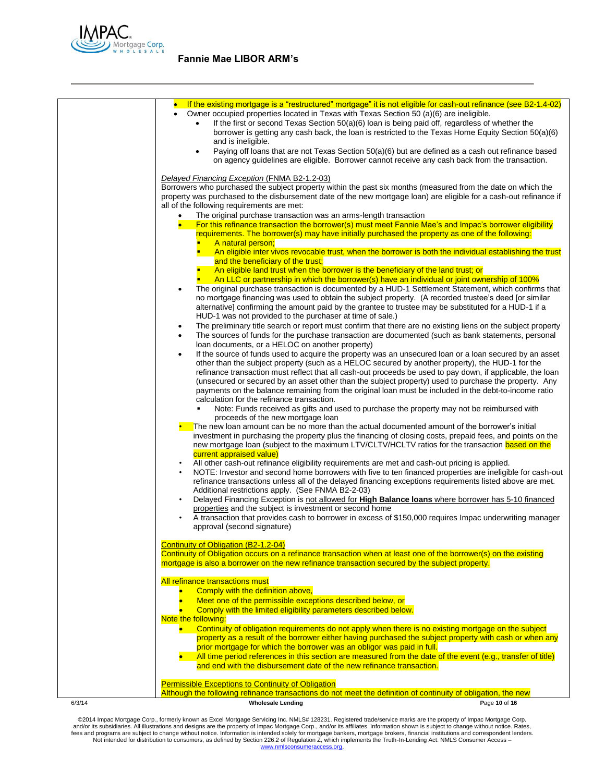

| 6/3/14 | <b>Wholesale Lending</b>                                                                                                                                                   | Page 10 of 16                                                                                                                                                                                                         |
|--------|----------------------------------------------------------------------------------------------------------------------------------------------------------------------------|-----------------------------------------------------------------------------------------------------------------------------------------------------------------------------------------------------------------------|
|        | <b>Permissible Exceptions to Continuity of Obligation</b><br>Although the following refinance transactions do not meet the definition of continuity of obligation, the new |                                                                                                                                                                                                                       |
|        |                                                                                                                                                                            |                                                                                                                                                                                                                       |
|        | and end with the disbursement date of the new refinance transaction.                                                                                                       | All time period references in this section are measured from the date of the event (e.g., transfer of title)                                                                                                          |
|        | prior mortgage for which the borrower was an obligor was paid in full.                                                                                                     | property as a result of the borrower either having purchased the subject property with cash or when any                                                                                                               |
|        | $\bullet$ .                                                                                                                                                                | Continuity of obligation requirements do not apply when there is no existing mortgage on the subject                                                                                                                  |
|        | Comply with the limited eligibility parameters described below.<br>Note the following:                                                                                     |                                                                                                                                                                                                                       |
|        | Comply with the definition above,<br>Meet one of the permissible exceptions described below, or                                                                            |                                                                                                                                                                                                                       |
|        | All refinance transactions must                                                                                                                                            |                                                                                                                                                                                                                       |
|        | mortgage is also a borrower on the new refinance transaction secured by the subject property.                                                                              |                                                                                                                                                                                                                       |
|        | Continuity of Obligation (B2-1.2-04)                                                                                                                                       | Continuity of Obligation occurs on a refinance transaction when at least one of the borrower(s) on the existing                                                                                                       |
|        |                                                                                                                                                                            |                                                                                                                                                                                                                       |
|        | approval (second signature)                                                                                                                                                | A transaction that provides cash to borrower in excess of \$150,000 requires Impac underwriting manager                                                                                                               |
|        | $\bullet$<br>properties and the subject is investment or second home                                                                                                       | Delayed Financing Exception is not allowed for High Balance loans where borrower has 5-10 financed                                                                                                                    |
|        | Additional restrictions apply. (See FNMA B2-2-03)                                                                                                                          |                                                                                                                                                                                                                       |
|        |                                                                                                                                                                            | NOTE: Investor and second home borrowers with five to ten financed properties are ineligible for cash-out<br>refinance transactions unless all of the delayed financing exceptions requirements listed above are met. |
|        | current appraised value)<br>$\bullet$                                                                                                                                      | All other cash-out refinance eligibility requirements are met and cash-out pricing is applied.                                                                                                                        |
|        |                                                                                                                                                                            | investment in purchasing the property plus the financing of closing costs, prepaid fees, and points on the<br>new mortgage loan (subject to the maximum LTV/CLTV/HCLTV ratios for the transaction based on the        |
|        |                                                                                                                                                                            | The new loan amount can be no more than the actual documented amount of the borrower's initial                                                                                                                        |
|        | proceeds of the new mortgage loan                                                                                                                                          | Note: Funds received as gifts and used to purchase the property may not be reimbursed with                                                                                                                            |
|        | calculation for the refinance transaction.                                                                                                                                 |                                                                                                                                                                                                                       |
|        |                                                                                                                                                                            | (unsecured or secured by an asset other than the subject property) used to purchase the property. Any<br>payments on the balance remaining from the original loan must be included in the debt-to-income ratio        |
|        |                                                                                                                                                                            | other than the subject property (such as a HELOC secured by another property), the HUD-1 for the<br>refinance transaction must reflect that all cash-out proceeds be used to pay down, if applicable, the loan        |
|        | ٠                                                                                                                                                                          | If the source of funds used to acquire the property was an unsecured loan or a loan secured by an asset                                                                                                               |
|        | ٠<br>loan documents, or a HELOC on another property)                                                                                                                       | The sources of funds for the purchase transaction are documented (such as bank statements, personal                                                                                                                   |
|        | HUD-1 was not provided to the purchaser at time of sale.)<br>$\bullet$                                                                                                     | The preliminary title search or report must confirm that there are no existing liens on the subject property                                                                                                          |
|        |                                                                                                                                                                            | no mortgage financing was used to obtain the subject property. (A recorded trustee's deed [or similar<br>alternative] confirming the amount paid by the grantee to trustee may be substituted for a HUD-1 if a        |
|        | $\bullet$                                                                                                                                                                  | The original purchase transaction is documented by a HUD-1 Settlement Statement, which confirms that                                                                                                                  |
|        |                                                                                                                                                                            | An eligible land trust when the borrower is the beneficiary of the land trust; or<br>An LLC or partnership in which the borrower(s) have an individual or joint ownership of 100%                                     |
|        | and the beneficiary of the trust;                                                                                                                                          |                                                                                                                                                                                                                       |
|        | A natural person;                                                                                                                                                          | An eligible inter vivos revocable trust, when the borrower is both the individual establishing the trust                                                                                                              |
|        |                                                                                                                                                                            | For this refinance transaction the borrower(s) must meet Fannie Mae's and Impac's borrower eligibility<br>requirements. The borrower(s) may have initially purchased the property as one of the following:            |
|        | The original purchase transaction was an arms-length transaction                                                                                                           |                                                                                                                                                                                                                       |
|        | all of the following requirements are met:                                                                                                                                 | property was purchased to the disbursement date of the new mortgage loan) are eligible for a cash-out refinance if                                                                                                    |
|        | Delayed Financing Exception (FNMA B2-1.2-03)                                                                                                                               | Borrowers who purchased the subject property within the past six months (measured from the date on which the                                                                                                          |
|        |                                                                                                                                                                            | on agency guidelines are eligible. Borrower cannot receive any cash back from the transaction.                                                                                                                        |
|        | $\bullet$                                                                                                                                                                  | Paying off loans that are not Texas Section 50(a)(6) but are defined as a cash out refinance based                                                                                                                    |
|        | and is ineligible.                                                                                                                                                         | borrower is getting any cash back, the loan is restricted to the Texas Home Equity Section 50(a)(6)                                                                                                                   |
|        | Owner occupied properties located in Texas with Texas Section 50 (a)(6) are ineligible.                                                                                    | If the first or second Texas Section 50(a)(6) loan is being paid off, regardless of whether the                                                                                                                       |
|        |                                                                                                                                                                            | If the existing mortgage is a "restructured" mortgage" it is not eligible for cash-out refinance (see B2-1.4-02)                                                                                                      |
|        |                                                                                                                                                                            |                                                                                                                                                                                                                       |

@2014 Impac Mortgage Corp., formerly known as Excel Mortgage Servicing Inc. NMLS# 128231. Registered trade/service marks are the property of Impac Mortgage Corp.<br>https://www.assurfactions and designs are the property of Im [www.nmlsconsumeraccess.org.](http://www.nmlsconsumeraccess.org/)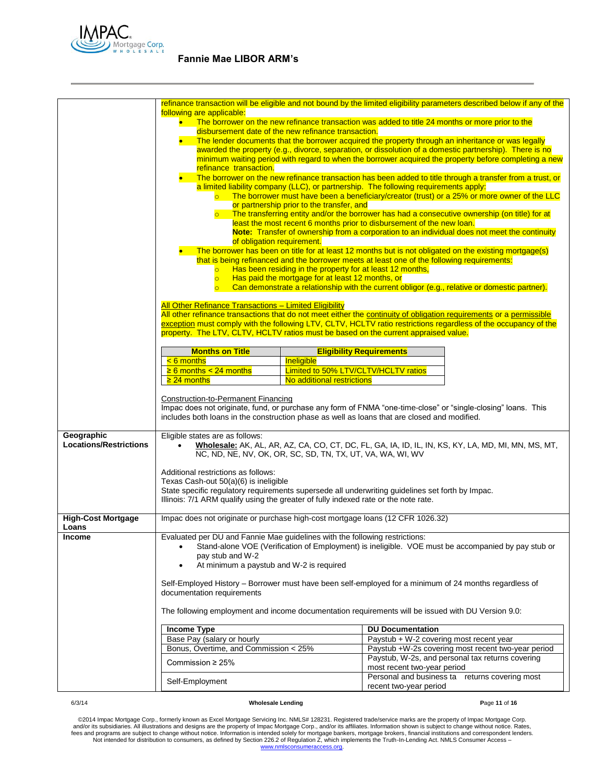

|                                             |                                                                                                                                                                                                               |                                                           | refinance transaction will be eligible and not bound by the limited eligibility parameters described below if any of the                                                                                                               |
|---------------------------------------------|---------------------------------------------------------------------------------------------------------------------------------------------------------------------------------------------------------------|-----------------------------------------------------------|----------------------------------------------------------------------------------------------------------------------------------------------------------------------------------------------------------------------------------------|
|                                             | following are applicable:<br>The borrower on the new refinance transaction was added to title 24 months or more prior to the                                                                                  |                                                           |                                                                                                                                                                                                                                        |
|                                             | disbursement date of the new refinance transaction.                                                                                                                                                           |                                                           |                                                                                                                                                                                                                                        |
|                                             | The lender documents that the borrower acquired the property through an inheritance or was legally<br>awarded the property (e.g., divorce, separation, or dissolution of a domestic partnership). There is no |                                                           |                                                                                                                                                                                                                                        |
|                                             | minimum waiting period with regard to when the borrower acquired the property before completing a new                                                                                                         |                                                           |                                                                                                                                                                                                                                        |
|                                             | refinance transaction.                                                                                                                                                                                        |                                                           | The borrower on the new refinance transaction has been added to title through a transfer from a trust, or                                                                                                                              |
|                                             |                                                                                                                                                                                                               |                                                           | a limited liability company (LLC), or partnership. The following requirements apply:                                                                                                                                                   |
|                                             |                                                                                                                                                                                                               | or partnership prior to the transfer, and                 | $\circ$ The borrower must have been a beneficiary/creator (trust) or a 25% or more owner of the LLC                                                                                                                                    |
|                                             |                                                                                                                                                                                                               |                                                           | o The transferring entity and/or the borrower has had a consecutive ownership (on title) for at                                                                                                                                        |
|                                             |                                                                                                                                                                                                               |                                                           | least the most recent 6 months prior to disbursement of the new loan.<br>Note: Transfer of ownership from a corporation to an individual does not meet the continuity                                                                  |
|                                             | of obligation requirement.                                                                                                                                                                                    |                                                           |                                                                                                                                                                                                                                        |
|                                             |                                                                                                                                                                                                               |                                                           | The borrower has been on title for at least 12 months but is not obligated on the existing mortgage(s)                                                                                                                                 |
|                                             | $\overline{\circ}$                                                                                                                                                                                            | Has been residing in the property for at least 12 months, | that is being refinanced and the borrower meets at least one of the following requirements:                                                                                                                                            |
|                                             | $\overline{\circ}$                                                                                                                                                                                            | Has paid the mortgage for at least 12 months, or          |                                                                                                                                                                                                                                        |
|                                             | $\overline{\circ}$                                                                                                                                                                                            |                                                           | Can demonstrate a relationship with the current obligor (e.g., relative or domestic partner).                                                                                                                                          |
|                                             | All Other Refinance Transactions - Limited Eligibility                                                                                                                                                        |                                                           |                                                                                                                                                                                                                                        |
|                                             |                                                                                                                                                                                                               |                                                           | All other refinance transactions that do not meet either the continuity of obligation requirements or a permissible<br>exception must comply with the following LTV, CLTV, HCLTV ratio restrictions regardless of the occupancy of the |
|                                             | property. The LTV, CLTV, HCLTV ratios must be based on the current appraised value.                                                                                                                           |                                                           |                                                                                                                                                                                                                                        |
|                                             | <b>Months on Title</b>                                                                                                                                                                                        |                                                           | <b>Eligibility Requirements</b>                                                                                                                                                                                                        |
|                                             | $< 6$ months                                                                                                                                                                                                  | Ineligible                                                |                                                                                                                                                                                                                                        |
|                                             | $\geq 6$ months < 24 months                                                                                                                                                                                   | Limited to 50% LTV/CLTV/HCLTV ratios                      |                                                                                                                                                                                                                                        |
|                                             | $\geq$ 24 months                                                                                                                                                                                              | No additional restrictions                                |                                                                                                                                                                                                                                        |
|                                             | <b>Construction-to-Permanent Financing</b>                                                                                                                                                                    |                                                           |                                                                                                                                                                                                                                        |
|                                             | includes both loans in the construction phase as well as loans that are closed and modified.                                                                                                                  |                                                           | Impac does not originate, fund, or purchase any form of FNMA "one-time-close" or "single-closing" loans. This                                                                                                                          |
|                                             |                                                                                                                                                                                                               |                                                           |                                                                                                                                                                                                                                        |
| Geographic<br><b>Locations/Restrictions</b> | Eligible states are as follows:                                                                                                                                                                               |                                                           | Wholesale: AK, AL, AR, AZ, CA, CO, CT, DC, FL, GA, IA, ID, IL, IN, KS, KY, LA, MD, MI, MN, MS, MT,                                                                                                                                     |
|                                             | NC, ND, NE, NV, OK, OR, SC, SD, TN, TX, UT, VA, WA, WI, WV                                                                                                                                                    |                                                           |                                                                                                                                                                                                                                        |
|                                             | Additional restrictions as follows:                                                                                                                                                                           |                                                           |                                                                                                                                                                                                                                        |
|                                             | Texas Cash-out 50(a)(6) is ineligible                                                                                                                                                                         |                                                           |                                                                                                                                                                                                                                        |
|                                             |                                                                                                                                                                                                               |                                                           | State specific regulatory requirements supersede all underwriting guidelines set forth by Impac.                                                                                                                                       |
|                                             | Illinois: 7/1 ARM qualify using the greater of fully indexed rate or the note rate.                                                                                                                           |                                                           |                                                                                                                                                                                                                                        |
| <b>High-Cost Mortgage</b><br>Loans          | Impac does not originate or purchase high-cost mortgage loans (12 CFR 1026.32)                                                                                                                                |                                                           |                                                                                                                                                                                                                                        |
| <b>Income</b>                               | Evaluated per DU and Fannie Mae guidelines with the following restrictions:                                                                                                                                   |                                                           |                                                                                                                                                                                                                                        |
|                                             | pay stub and W-2                                                                                                                                                                                              |                                                           | Stand-alone VOE (Verification of Employment) is ineligible. VOE must be accompanied by pay stub or                                                                                                                                     |
|                                             | At minimum a paystub and W-2 is required                                                                                                                                                                      |                                                           |                                                                                                                                                                                                                                        |
|                                             |                                                                                                                                                                                                               |                                                           | Self-Employed History – Borrower must have been self-employed for a minimum of 24 months regardless of                                                                                                                                 |
|                                             | documentation requirements                                                                                                                                                                                    |                                                           |                                                                                                                                                                                                                                        |
|                                             |                                                                                                                                                                                                               |                                                           |                                                                                                                                                                                                                                        |
|                                             |                                                                                                                                                                                                               |                                                           | The following employment and income documentation requirements will be issued with DU Version 9.0:                                                                                                                                     |
|                                             | <b>Income Type</b>                                                                                                                                                                                            |                                                           | <b>DU Documentation</b>                                                                                                                                                                                                                |
|                                             | Base Pay (salary or hourly<br>Bonus, Overtime, and Commission < 25%                                                                                                                                           |                                                           | Paystub + W-2 covering most recent year<br>Paystub +W-2s covering most recent two-year period                                                                                                                                          |
|                                             | Commission $\geq$ 25%                                                                                                                                                                                         |                                                           | Paystub, W-2s, and personal tax returns covering                                                                                                                                                                                       |
|                                             |                                                                                                                                                                                                               |                                                           | most recent two-year period<br>Personal and business ta returns covering most                                                                                                                                                          |
|                                             | Self-Employment                                                                                                                                                                                               |                                                           | recent two-year period                                                                                                                                                                                                                 |

### 6/3/14 **Wholesale Lending P**age **11** of **16**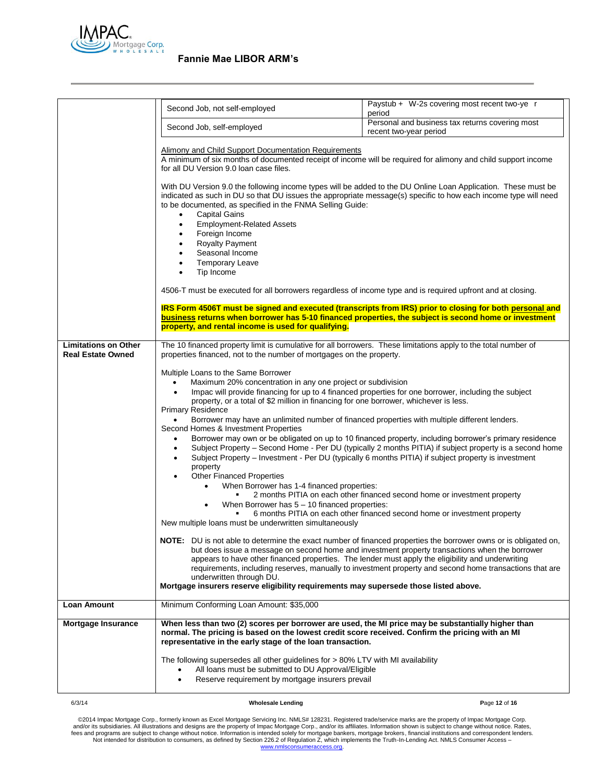

|                                                         |                                                                                                                                                                                                                                                                                                                                                                                                                                                                                                                                                                                                                                                                                                                                                                                                                                                                                                                                                                                                                                                                                                                                                                                                                                                                                                                                                                                                                                                                                                                                                                                                                                                                                                                                                                                                                                 | Paystub + W-2s covering most recent two-ye r                                                             |
|---------------------------------------------------------|---------------------------------------------------------------------------------------------------------------------------------------------------------------------------------------------------------------------------------------------------------------------------------------------------------------------------------------------------------------------------------------------------------------------------------------------------------------------------------------------------------------------------------------------------------------------------------------------------------------------------------------------------------------------------------------------------------------------------------------------------------------------------------------------------------------------------------------------------------------------------------------------------------------------------------------------------------------------------------------------------------------------------------------------------------------------------------------------------------------------------------------------------------------------------------------------------------------------------------------------------------------------------------------------------------------------------------------------------------------------------------------------------------------------------------------------------------------------------------------------------------------------------------------------------------------------------------------------------------------------------------------------------------------------------------------------------------------------------------------------------------------------------------------------------------------------------------|----------------------------------------------------------------------------------------------------------|
|                                                         | Second Job, not self-employed                                                                                                                                                                                                                                                                                                                                                                                                                                                                                                                                                                                                                                                                                                                                                                                                                                                                                                                                                                                                                                                                                                                                                                                                                                                                                                                                                                                                                                                                                                                                                                                                                                                                                                                                                                                                   | period                                                                                                   |
|                                                         | Second Job, self-employed                                                                                                                                                                                                                                                                                                                                                                                                                                                                                                                                                                                                                                                                                                                                                                                                                                                                                                                                                                                                                                                                                                                                                                                                                                                                                                                                                                                                                                                                                                                                                                                                                                                                                                                                                                                                       | Personal and business tax returns covering most<br>recent two-year period                                |
|                                                         | Alimony and Child Support Documentation Requirements<br>A minimum of six months of documented receipt of income will be required for alimony and child support income<br>for all DU Version 9.0 loan case files.                                                                                                                                                                                                                                                                                                                                                                                                                                                                                                                                                                                                                                                                                                                                                                                                                                                                                                                                                                                                                                                                                                                                                                                                                                                                                                                                                                                                                                                                                                                                                                                                                |                                                                                                          |
|                                                         | With DU Version 9.0 the following income types will be added to the DU Online Loan Application. These must be<br>indicated as such in DU so that DU issues the appropriate message(s) specific to how each income type will need<br>to be documented, as specified in the FNMA Selling Guide:<br><b>Capital Gains</b><br>$\bullet$<br><b>Employment-Related Assets</b><br>$\bullet$<br>Foreign Income<br>$\bullet$<br><b>Royalty Payment</b><br>$\bullet$<br>Seasonal Income<br><b>Temporary Leave</b><br>Tip Income                                                                                                                                                                                                                                                                                                                                                                                                                                                                                                                                                                                                                                                                                                                                                                                                                                                                                                                                                                                                                                                                                                                                                                                                                                                                                                            |                                                                                                          |
|                                                         | 4506-T must be executed for all borrowers regardless of income type and is required upfront and at closing.                                                                                                                                                                                                                                                                                                                                                                                                                                                                                                                                                                                                                                                                                                                                                                                                                                                                                                                                                                                                                                                                                                                                                                                                                                                                                                                                                                                                                                                                                                                                                                                                                                                                                                                     |                                                                                                          |
|                                                         | business returns when borrower has 5-10 financed properties, the subject is second home or investment<br>property, and rental income is used for qualifying.                                                                                                                                                                                                                                                                                                                                                                                                                                                                                                                                                                                                                                                                                                                                                                                                                                                                                                                                                                                                                                                                                                                                                                                                                                                                                                                                                                                                                                                                                                                                                                                                                                                                    | IRS Form 4506T must be signed and executed (transcripts from IRS) prior to closing for both personal and |
| <b>Limitations on Other</b><br><b>Real Estate Owned</b> | The 10 financed property limit is cumulative for all borrowers. These limitations apply to the total number of<br>properties financed, not to the number of mortgages on the property.                                                                                                                                                                                                                                                                                                                                                                                                                                                                                                                                                                                                                                                                                                                                                                                                                                                                                                                                                                                                                                                                                                                                                                                                                                                                                                                                                                                                                                                                                                                                                                                                                                          |                                                                                                          |
|                                                         | Multiple Loans to the Same Borrower<br>Maximum 20% concentration in any one project or subdivision<br>$\bullet$<br>Impac will provide financing for up to 4 financed properties for one borrower, including the subject<br>$\bullet$<br>property, or a total of \$2 million in financing for one borrower, whichever is less.<br><b>Primary Residence</b><br>Borrower may have an unlimited number of financed properties with multiple different lenders.<br>Second Homes & Investment Properties<br>Borrower may own or be obligated on up to 10 financed property, including borrower's primary residence<br>$\bullet$<br>Subject Property - Second Home - Per DU (typically 2 months PITIA) if subject property is a second home<br>$\bullet$<br>Subject Property - Investment - Per DU (typically 6 months PITIA) if subject property is investment<br>$\bullet$<br>property<br><b>Other Financed Properties</b><br>$\bullet$<br>When Borrower has 1-4 financed properties:<br>2 months PITIA on each other financed second home or investment property<br>When Borrower has $5 - 10$ financed properties:<br>٠<br>6 months PITIA on each other financed second home or investment property<br>٠<br>New multiple loans must be underwritten simultaneously<br><b>NOTE:</b> DU is not able to determine the exact number of financed properties the borrower owns or is obligated on,<br>but does issue a message on second home and investment property transactions when the borrower<br>appears to have other financed properties. The lender must apply the eligibility and underwriting<br>requirements, including reserves, manually to investment property and second home transactions that are<br>underwritten through DU.<br>Mortgage insurers reserve eligibility requirements may supersede those listed above. |                                                                                                          |
| Loan Amount                                             | Minimum Conforming Loan Amount: \$35,000                                                                                                                                                                                                                                                                                                                                                                                                                                                                                                                                                                                                                                                                                                                                                                                                                                                                                                                                                                                                                                                                                                                                                                                                                                                                                                                                                                                                                                                                                                                                                                                                                                                                                                                                                                                        |                                                                                                          |
| Mortgage Insurance                                      | When less than two (2) scores per borrower are used, the MI price may be substantially higher than<br>normal. The pricing is based on the lowest credit score received. Confirm the pricing with an MI<br>representative in the early stage of the loan transaction.<br>The following supersedes all other guidelines for > 80% LTV with MI availability                                                                                                                                                                                                                                                                                                                                                                                                                                                                                                                                                                                                                                                                                                                                                                                                                                                                                                                                                                                                                                                                                                                                                                                                                                                                                                                                                                                                                                                                        |                                                                                                          |
|                                                         | All loans must be submitted to DU Approval/Eligible<br>Reserve requirement by mortgage insurers prevail                                                                                                                                                                                                                                                                                                                                                                                                                                                                                                                                                                                                                                                                                                                                                                                                                                                                                                                                                                                                                                                                                                                                                                                                                                                                                                                                                                                                                                                                                                                                                                                                                                                                                                                         |                                                                                                          |
| 6/3/14                                                  | <b>Wholesale Lending</b>                                                                                                                                                                                                                                                                                                                                                                                                                                                                                                                                                                                                                                                                                                                                                                                                                                                                                                                                                                                                                                                                                                                                                                                                                                                                                                                                                                                                                                                                                                                                                                                                                                                                                                                                                                                                        | Page 12 of 16                                                                                            |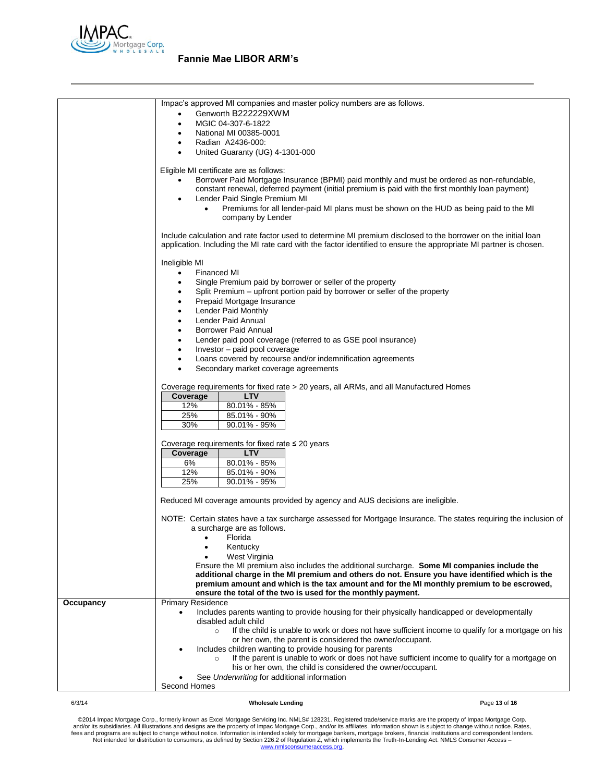

|           | Impac's approved MI companies and master policy numbers are as follows.                                                                                                                                                              |
|-----------|--------------------------------------------------------------------------------------------------------------------------------------------------------------------------------------------------------------------------------------|
|           | Genworth B222229XWM                                                                                                                                                                                                                  |
|           | MGIC 04-307-6-1822<br>$\bullet$                                                                                                                                                                                                      |
|           | National MI 00385-0001<br>$\bullet$                                                                                                                                                                                                  |
|           | Radian A2436-000:<br>$\bullet$                                                                                                                                                                                                       |
|           | United Guaranty (UG) 4-1301-000<br>$\bullet$                                                                                                                                                                                         |
|           | Eligible MI certificate are as follows:                                                                                                                                                                                              |
|           | Borrower Paid Mortgage Insurance (BPMI) paid monthly and must be ordered as non-refundable,                                                                                                                                          |
|           | constant renewal, deferred payment (initial premium is paid with the first monthly loan payment)                                                                                                                                     |
|           | Lender Paid Single Premium MI<br>$\bullet$                                                                                                                                                                                           |
|           | Premiums for all lender-paid MI plans must be shown on the HUD as being paid to the MI                                                                                                                                               |
|           | company by Lender                                                                                                                                                                                                                    |
|           |                                                                                                                                                                                                                                      |
|           | Include calculation and rate factor used to determine MI premium disclosed to the borrower on the initial loan<br>application. Including the MI rate card with the factor identified to ensure the appropriate MI partner is chosen. |
|           | Ineligible MI                                                                                                                                                                                                                        |
|           | Financed MI<br>$\bullet$                                                                                                                                                                                                             |
|           | Single Premium paid by borrower or seller of the property<br>$\bullet$                                                                                                                                                               |
|           | Split Premium – upfront portion paid by borrower or seller of the property<br>$\bullet$                                                                                                                                              |
|           | Prepaid Mortgage Insurance                                                                                                                                                                                                           |
|           | Lender Paid Monthly<br>$\bullet$                                                                                                                                                                                                     |
|           | Lender Paid Annual<br>$\bullet$                                                                                                                                                                                                      |
|           | <b>Borrower Paid Annual</b><br>$\bullet$                                                                                                                                                                                             |
|           | Lender paid pool coverage (referred to as GSE pool insurance)<br>$\bullet$                                                                                                                                                           |
|           | Investor - paid pool coverage<br>٠                                                                                                                                                                                                   |
|           | Loans covered by recourse and/or indemnification agreements<br>$\bullet$                                                                                                                                                             |
|           | Secondary market coverage agreements                                                                                                                                                                                                 |
|           | Coverage requirements for fixed rate > 20 years, all ARMs, and all Manufactured Homes                                                                                                                                                |
|           | <b>LTV</b><br>Coverage                                                                                                                                                                                                               |
|           | 12%<br>80.01% - 85%                                                                                                                                                                                                                  |
|           | 25%<br>85.01% - 90%                                                                                                                                                                                                                  |
|           | 30%<br>$90.01\% - 95\%$                                                                                                                                                                                                              |
|           |                                                                                                                                                                                                                                      |
|           | Coverage requirements for fixed rate $\leq 20$ years                                                                                                                                                                                 |
|           | <b>LTV</b><br>Coverage                                                                                                                                                                                                               |
|           | 80.01% - 85%<br>6%                                                                                                                                                                                                                   |
|           | 12%<br>85.01% - 90%                                                                                                                                                                                                                  |
|           | 25%<br>$90.01\% - 95\%$                                                                                                                                                                                                              |
|           | Reduced MI coverage amounts provided by agency and AUS decisions are ineligible.                                                                                                                                                     |
|           | NOTE: Certain states have a tax surcharge assessed for Mortgage Insurance. The states requiring the inclusion of<br>a surcharge are as follows.                                                                                      |
|           | Florida                                                                                                                                                                                                                              |
|           | Kentucky                                                                                                                                                                                                                             |
|           | West Virginia                                                                                                                                                                                                                        |
|           | Ensure the MI premium also includes the additional surcharge. Some MI companies include the                                                                                                                                          |
|           | additional charge in the MI premium and others do not. Ensure you have identified which is the                                                                                                                                       |
|           | premium amount and which is the tax amount and for the MI monthly premium to be escrowed,<br>ensure the total of the two is used for the monthly payment.                                                                            |
| Occupancy | <b>Primary Residence</b>                                                                                                                                                                                                             |
|           | Includes parents wanting to provide housing for their physically handicapped or developmentally                                                                                                                                      |
|           | disabled adult child                                                                                                                                                                                                                 |
|           | If the child is unable to work or does not have sufficient income to qualify for a mortgage on his<br>$\circ$                                                                                                                        |
|           | or her own, the parent is considered the owner/occupant.                                                                                                                                                                             |
|           | Includes children wanting to provide housing for parents                                                                                                                                                                             |
|           | If the parent is unable to work or does not have sufficient income to qualify for a mortgage on<br>$\circ$                                                                                                                           |
|           | his or her own, the child is considered the owner/occupant.                                                                                                                                                                          |
|           | See Underwriting for additional information<br>Second Homes                                                                                                                                                                          |
|           |                                                                                                                                                                                                                                      |

### 6/3/14 **Wholesale Lending P**age **13** of **16**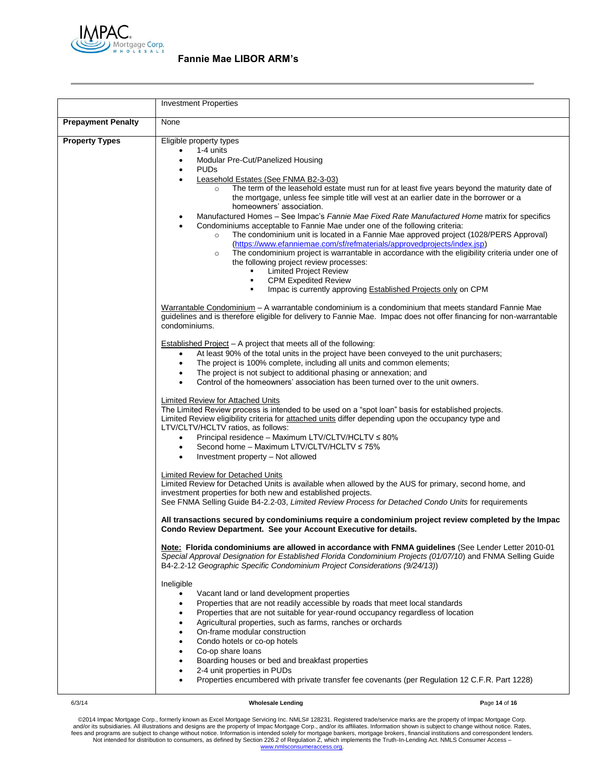

|                           | <b>Investment Properties</b>                                                                                                                                                                                                                                                                                                                                                                                                                                                                                                                                                                                                                                                                                                                                                                                                                                                                                                                                                                                                                                                                                                                                                                                                                                                                                                                                                                                                                                                                                                                                                                                                                                                                                                                                                                                                                                                                                                                                                                                                                                                                                                                                                                                                                                                                                                                                                                                                                                                                                                                                                                                                                                                                                                                                                                                                                                                                                                                                                                                                                                                                                                                                                                                                                                                                                                                                                                                                                                                                                                                                                                                                                                           |
|---------------------------|------------------------------------------------------------------------------------------------------------------------------------------------------------------------------------------------------------------------------------------------------------------------------------------------------------------------------------------------------------------------------------------------------------------------------------------------------------------------------------------------------------------------------------------------------------------------------------------------------------------------------------------------------------------------------------------------------------------------------------------------------------------------------------------------------------------------------------------------------------------------------------------------------------------------------------------------------------------------------------------------------------------------------------------------------------------------------------------------------------------------------------------------------------------------------------------------------------------------------------------------------------------------------------------------------------------------------------------------------------------------------------------------------------------------------------------------------------------------------------------------------------------------------------------------------------------------------------------------------------------------------------------------------------------------------------------------------------------------------------------------------------------------------------------------------------------------------------------------------------------------------------------------------------------------------------------------------------------------------------------------------------------------------------------------------------------------------------------------------------------------------------------------------------------------------------------------------------------------------------------------------------------------------------------------------------------------------------------------------------------------------------------------------------------------------------------------------------------------------------------------------------------------------------------------------------------------------------------------------------------------------------------------------------------------------------------------------------------------------------------------------------------------------------------------------------------------------------------------------------------------------------------------------------------------------------------------------------------------------------------------------------------------------------------------------------------------------------------------------------------------------------------------------------------------------------------------------------------------------------------------------------------------------------------------------------------------------------------------------------------------------------------------------------------------------------------------------------------------------------------------------------------------------------------------------------------------------------------------------------------------------------------------------------------------|
| <b>Prepayment Penalty</b> | None                                                                                                                                                                                                                                                                                                                                                                                                                                                                                                                                                                                                                                                                                                                                                                                                                                                                                                                                                                                                                                                                                                                                                                                                                                                                                                                                                                                                                                                                                                                                                                                                                                                                                                                                                                                                                                                                                                                                                                                                                                                                                                                                                                                                                                                                                                                                                                                                                                                                                                                                                                                                                                                                                                                                                                                                                                                                                                                                                                                                                                                                                                                                                                                                                                                                                                                                                                                                                                                                                                                                                                                                                                                                   |
| <b>Property Types</b>     | Eligible property types<br>1-4 units<br>Modular Pre-Cut/Panelized Housing<br><b>PUDs</b><br>$\bullet$<br>Leasehold Estates (See FNMA B2-3-03)<br>The term of the leasehold estate must run for at least five years beyond the maturity date of<br>$\circ$<br>the mortgage, unless fee simple title will vest at an earlier date in the borrower or a<br>homeowners' association.<br>Manufactured Homes - See Impac's Fannie Mae Fixed Rate Manufactured Home matrix for specifics<br>Condominiums acceptable to Fannie Mae under one of the following criteria:<br>The condominium unit is located in a Fannie Mae approved project (1028/PERS Approval)<br>$\circ$<br>(https://www.efanniemae.com/sf/refmaterials/approvedprojects/index.jsp)<br>The condominium project is warrantable in accordance with the eligibility criteria under one of<br>$\circ$<br>the following project review processes:<br><b>Limited Project Review</b><br>$\blacksquare$<br><b>CPM Expedited Review</b><br>$\blacksquare$<br>Impac is currently approving Established Projects only on CPM<br>$\blacksquare$<br>Warrantable Condominium - A warrantable condominium is a condominium that meets standard Fannie Mae<br>guidelines and is therefore eligible for delivery to Fannie Mae. Impac does not offer financing for non-warrantable<br>condominiums.<br><b>Established Project - A project that meets all of the following:</b><br>At least 90% of the total units in the project have been conveyed to the unit purchasers;<br>$\bullet$<br>The project is 100% complete, including all units and common elements;<br>$\bullet$<br>The project is not subject to additional phasing or annexation; and<br>٠<br>Control of the homeowners' association has been turned over to the unit owners.<br>Limited Review for Attached Units<br>The Limited Review process is intended to be used on a "spot loan" basis for established projects.<br>Limited Review eligibility criteria for attached units differ depending upon the occupancy type and<br>LTV/CLTV/HCLTV ratios, as follows:<br>Principal residence - Maximum LTV/CLTV/HCLTV ≤ 80%<br>$\bullet$<br>Second home – Maximum LTV/CLTV/HCLTV ≤ 75%<br>$\bullet$<br>Investment property – Not allowed<br>Limited Review for Detached Units<br>Limited Review for Detached Units is available when allowed by the AUS for primary, second home, and<br>investment properties for both new and established projects.<br>See FNMA Selling Guide B4-2.2-03, Limited Review Process for Detached Condo Units for requirements<br>All transactions secured by condominiums require a condominium project review completed by the Impac<br>Condo Review Department. See your Account Executive for details.<br>Note: Florida condominiums are allowed in accordance with FNMA guidelines (See Lender Letter 2010-01<br>Special Approval Designation for Established Florida Condominium Projects (01/07/10) and FNMA Selling Guide<br>B4-2.2-12 Geographic Specific Condominium Project Considerations (9/24/13))<br>Ineligible<br>Vacant land or land development properties<br>Properties that are not readily accessible by roads that meet local standards<br>$\bullet$<br>Properties that are not suitable for year-round occupancy regardless of location<br>Agricultural properties, such as farms, ranches or orchards<br>On-frame modular construction<br>Condo hotels or co-op hotels<br>٠<br>Co-op share loans<br>٠<br>Boarding houses or bed and breakfast properties<br>2-4 unit properties in PUDs<br>Properties encumbered with private transfer fee covenants (per Regulation 12 C.F.R. Part 1228)<br>$\bullet$ |

### 6/3/14 **Wholesale Lending P**age **14** of **16**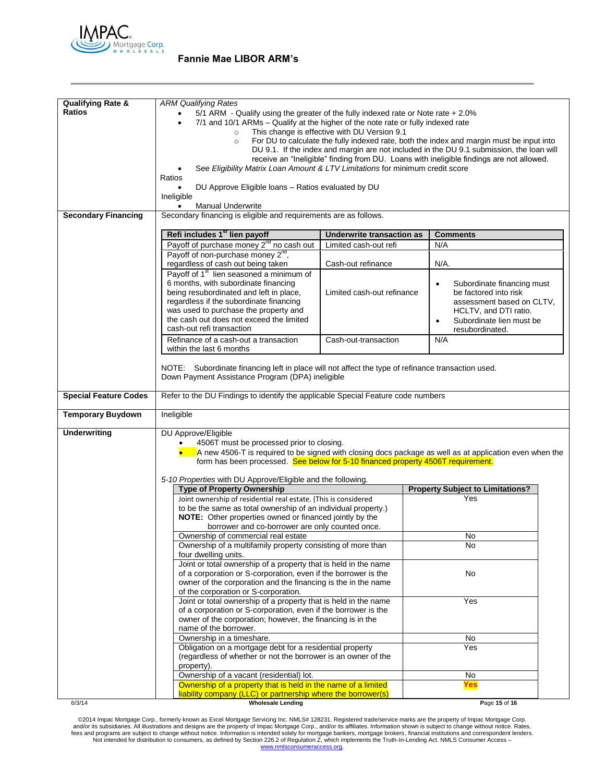

| <b>Qualifying Rate &amp;</b><br><b>Ratios</b> | <b>ARM Qualifying Rates</b><br>$5/1$ ARM - Qualify using the greater of the fully indexed rate or Note rate + 2.0%<br>7/1 and 10/1 ARMs – Qualify at the higher of the note rate or fully indexed rate<br>$\circ$<br>$\circ$<br>See Eligibility Matrix Loan Amount & LTV Limitations for minimum credit score<br>Ratios<br>DU Approve Eligible Ioans - Ratios evaluated by DU<br>Ineligible<br><b>Manual Underwrite</b> | This change is effective with DU Version 9.1 | For DU to calculate the fully indexed rate, both the index and margin must be input into<br>DU 9.1. If the index and margin are not included in the DU 9.1 submission, the loan will<br>receive an "Ineligible" finding from DU. Loans with ineligible findings are not allowed. |  |
|-----------------------------------------------|-------------------------------------------------------------------------------------------------------------------------------------------------------------------------------------------------------------------------------------------------------------------------------------------------------------------------------------------------------------------------------------------------------------------------|----------------------------------------------|----------------------------------------------------------------------------------------------------------------------------------------------------------------------------------------------------------------------------------------------------------------------------------|--|
| <b>Secondary Financing</b>                    | Secondary financing is eligible and requirements are as follows.                                                                                                                                                                                                                                                                                                                                                        |                                              |                                                                                                                                                                                                                                                                                  |  |
|                                               | Refi includes 1 <sup>st</sup> lien payoff                                                                                                                                                                                                                                                                                                                                                                               | Underwrite transaction as                    | <b>Comments</b>                                                                                                                                                                                                                                                                  |  |
|                                               | Payoff of purchase money 2 <sup>nd</sup> no cash out                                                                                                                                                                                                                                                                                                                                                                    | Limited cash-out refi                        | N/A                                                                                                                                                                                                                                                                              |  |
|                                               | Payoff of non-purchase money 2 <sup>nd</sup> ,                                                                                                                                                                                                                                                                                                                                                                          |                                              |                                                                                                                                                                                                                                                                                  |  |
|                                               | regardless of cash out being taken                                                                                                                                                                                                                                                                                                                                                                                      | Cash-out refinance                           | N/A.                                                                                                                                                                                                                                                                             |  |
|                                               | Payoff of 1 <sup>st</sup> lien seasoned a minimum of<br>6 months, with subordinate financing<br>being resubordinated and left in place,<br>regardless if the subordinate financing<br>was used to purchase the property and<br>the cash out does not exceed the limited                                                                                                                                                 | Limited cash-out refinance                   | Subordinate financing must<br>be factored into risk<br>assessment based on CLTV,<br>HCLTV, and DTI ratio.<br>Subordinate lien must be                                                                                                                                            |  |
|                                               | cash-out refi transaction                                                                                                                                                                                                                                                                                                                                                                                               |                                              | resubordinated.                                                                                                                                                                                                                                                                  |  |
|                                               | Refinance of a cash-out a transaction<br>within the last 6 months                                                                                                                                                                                                                                                                                                                                                       | Cash-out-transaction                         | N/A                                                                                                                                                                                                                                                                              |  |
|                                               | NOTE: Subordinate financing left in place will not affect the type of refinance transaction used.<br>Down Payment Assistance Program (DPA) ineligible                                                                                                                                                                                                                                                                   |                                              |                                                                                                                                                                                                                                                                                  |  |
| <b>Special Feature Codes</b>                  | Refer to the DU Findings to identify the applicable Special Feature code numbers                                                                                                                                                                                                                                                                                                                                        |                                              |                                                                                                                                                                                                                                                                                  |  |
| <b>Temporary Buydown</b>                      | Ineligible                                                                                                                                                                                                                                                                                                                                                                                                              |                                              |                                                                                                                                                                                                                                                                                  |  |
| <b>Underwriting</b>                           | DU Approve/Eligible<br>4506T must be processed prior to closing.<br>form has been processed. See below for 5-10 financed property 4506T requirement.<br>5-10 Properties with DU Approve/Eligible and the following.<br><b>Type of Property Ownership</b>                                                                                                                                                                |                                              | A new 4506-T is required to be signed with closing docs package as well as at application even when the<br><b>Property Subject to Limitations?</b>                                                                                                                               |  |
|                                               | Joint ownership of residential real estate. (This is considered                                                                                                                                                                                                                                                                                                                                                         |                                              | Yes                                                                                                                                                                                                                                                                              |  |
|                                               | to be the same as total ownership of an individual property.)<br><b>NOTE:</b> Other properties owned or financed jointly by the<br>borrower and co-borrower are only counted once.                                                                                                                                                                                                                                      |                                              |                                                                                                                                                                                                                                                                                  |  |
|                                               | Ownership of commercial real estate                                                                                                                                                                                                                                                                                                                                                                                     |                                              | No                                                                                                                                                                                                                                                                               |  |
|                                               | Ownership of a multifamily property consisting of more than<br>four dwelling units.                                                                                                                                                                                                                                                                                                                                     |                                              | No                                                                                                                                                                                                                                                                               |  |
|                                               | Joint or total ownership of a property that is held in the name<br>of a corporation or S-corporation, even if the borrower is the<br>owner of the corporation and the financing is the in the name<br>of the corporation or S-corporation.                                                                                                                                                                              |                                              | No                                                                                                                                                                                                                                                                               |  |
|                                               | Joint or total ownership of a property that is held in the name<br>of a corporation or S-corporation, even if the borrower is the<br>owner of the corporation; however, the financing is in the<br>name of the borrower.                                                                                                                                                                                                |                                              | Yes                                                                                                                                                                                                                                                                              |  |
|                                               | Ownership in a timeshare.                                                                                                                                                                                                                                                                                                                                                                                               |                                              | No                                                                                                                                                                                                                                                                               |  |
|                                               | Obligation on a mortgage debt for a residential property<br>(regardless of whether or not the borrower is an owner of the<br>property).                                                                                                                                                                                                                                                                                 |                                              | Yes                                                                                                                                                                                                                                                                              |  |
|                                               | Ownership of a vacant (residential) lot.                                                                                                                                                                                                                                                                                                                                                                                |                                              | No                                                                                                                                                                                                                                                                               |  |
|                                               | Ownership of a property that is held in the name of a limited                                                                                                                                                                                                                                                                                                                                                           |                                              | Yes                                                                                                                                                                                                                                                                              |  |
| 6/3/14                                        | liability company (LLC) or partnership where the borrower(s)<br><b>Wholesale Lending</b>                                                                                                                                                                                                                                                                                                                                |                                              | Page 15 of 16                                                                                                                                                                                                                                                                    |  |